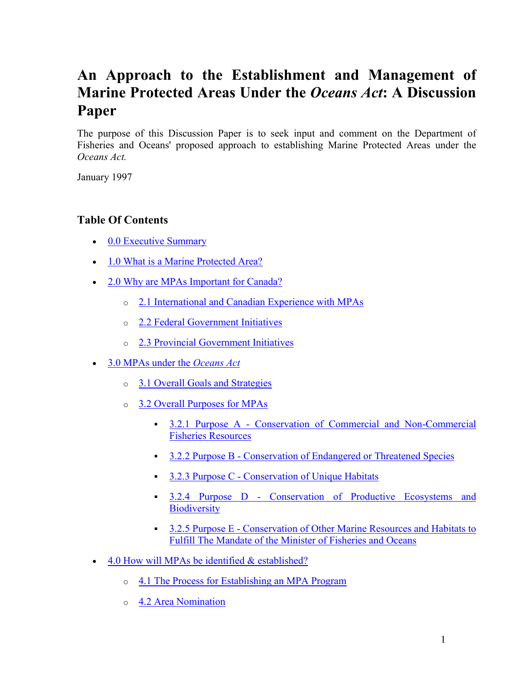# **An Approach to the Establishment and Management of Marine Protected Areas Under the** *Oceans Act***: A Discussion Paper**

The purpose of this Discussion Paper is to seek input and comment on the Department of Fisheries and Oceans' proposed approach to establishing Marine Protected Areas under the *Oceans Act.*

January 1997

## **Table Of Contents**

- [0.0 Executive Summary](http://www.dfo-mpo.gc.ca/canwaters-eauxcan/infocentre/publications/docs/discussion_e.asp)
- [1.0 What is a Marine Protected Area?](http://www.dfo-mpo.gc.ca/canwaters-eauxcan/infocentre/publications/docs/discussion_e.asp)
- [2.0 Why are MPAs Important for Canada?](http://www.dfo-mpo.gc.ca/canwaters-eauxcan/infocentre/publications/docs/discussion_e.asp)
	- o [2.1 International and Canadian Experience with MPAs](http://www.dfo-mpo.gc.ca/canwaters-eauxcan/infocentre/publications/docs/discussion_e.asp)
	- o [2.2 Federal Government Initiatives](http://www.dfo-mpo.gc.ca/canwaters-eauxcan/infocentre/publications/docs/discussion_e.asp)
	- o [2.3 Provincial Government Initiatives](http://www.dfo-mpo.gc.ca/canwaters-eauxcan/infocentre/publications/docs/discussion_e.asp)
- [3.0 MPAs under the](http://www.dfo-mpo.gc.ca/canwaters-eauxcan/infocentre/publications/docs/discussion_e.asp) *Oceans Act*
	- o 3.1 Overall Goals and Strategies
	- o [3.2 Overall Purposes for MPAs](http://www.dfo-mpo.gc.ca/canwaters-eauxcan/infocentre/publications/docs/discussion_e.asp) 
		- [3.2.1 Purpose A Conservation of Commercial and Non-Commercial](http://www.dfo-mpo.gc.ca/canwaters-eauxcan/infocentre/publications/docs/discussion_e.asp)  [Fisheries Resources](http://www.dfo-mpo.gc.ca/canwaters-eauxcan/infocentre/publications/docs/discussion_e.asp)
		- [3.2.2 Purpose B Conservation of Endangered or Threatened Species](http://www.dfo-mpo.gc.ca/canwaters-eauxcan/infocentre/publications/docs/discussion_e.asp)
		- <sup>3</sup> 3.2.3 Purpose C Conservation of Unique Habitats
		- 3.2.4 Purpose D [Conservation of Productive Ecosystems and](http://www.dfo-mpo.gc.ca/canwaters-eauxcan/infocentre/publications/docs/discussion_e.asp) **[Biodiversity](http://www.dfo-mpo.gc.ca/canwaters-eauxcan/infocentre/publications/docs/discussion_e.asp)**
		- 3.2.5 Purpose E [Conservation of Other Marine Resources and Habitats to](http://www.dfo-mpo.gc.ca/canwaters-eauxcan/infocentre/publications/docs/discussion_e.asp) [Fulfill The Mandate of the Minister of Fisheries and Oceans](http://www.dfo-mpo.gc.ca/canwaters-eauxcan/infocentre/publications/docs/discussion_e.asp)
- 4.0 How will MPAs be identified  $&$  established?
	- o [4.1 The Process for Establishing an MPA Program](http://www.dfo-mpo.gc.ca/canwaters-eauxcan/infocentre/publications/docs/discussion_e.asp)
	- o [4.2 Area Nomination](http://www.dfo-mpo.gc.ca/canwaters-eauxcan/infocentre/publications/docs/discussion_e.asp)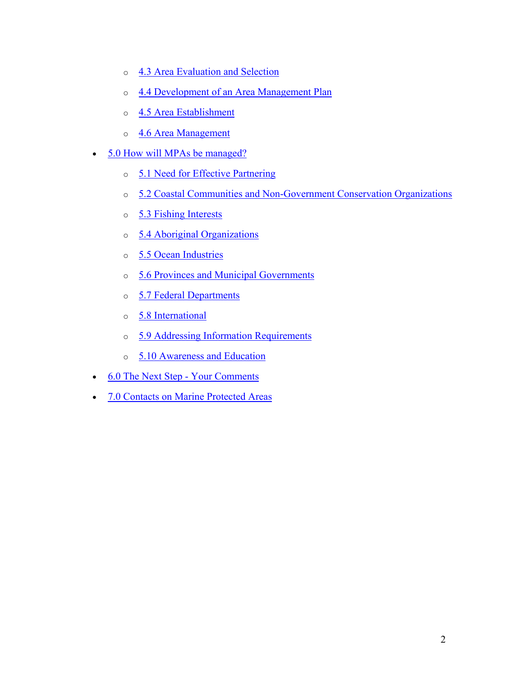- o [4.3 Area Evaluation and Selection](http://www.dfo-mpo.gc.ca/canwaters-eauxcan/infocentre/publications/docs/discussion_e.asp)
- o [4.4 Development of an Area Management Plan](http://www.dfo-mpo.gc.ca/canwaters-eauxcan/infocentre/publications/docs/discussion_e.asp)
- o [4.5 Area Establishment](http://www.dfo-mpo.gc.ca/canwaters-eauxcan/infocentre/publications/docs/discussion_e.asp)
- o [4.6 Area Management](http://www.dfo-mpo.gc.ca/canwaters-eauxcan/infocentre/publications/docs/discussion_e.asp)
- [5.0 How will MPAs be managed?](http://www.dfo-mpo.gc.ca/canwaters-eauxcan/infocentre/publications/docs/discussion_e.asp)
	- o [5.1 Need for Effective Partnering](http://www.dfo-mpo.gc.ca/canwaters-eauxcan/infocentre/publications/docs/discussion_e.asp)
	- o [5.2 Coastal Communities and Non-Government Conservation Organizations](http://www.dfo-mpo.gc.ca/canwaters-eauxcan/infocentre/publications/docs/discussion_e.asp)
	- o [5.3 Fishing Interests](http://www.dfo-mpo.gc.ca/canwaters-eauxcan/infocentre/publications/docs/discussion_e.asp)
	- o [5.4 Aboriginal Organizations](http://www.dfo-mpo.gc.ca/canwaters-eauxcan/infocentre/publications/docs/discussion_e.asp)
	- o [5.5 Ocean Industries](http://www.dfo-mpo.gc.ca/canwaters-eauxcan/infocentre/publications/docs/discussion_e.asp)
	- o [5.6 Provinces and Municipal Governments](http://www.dfo-mpo.gc.ca/canwaters-eauxcan/infocentre/publications/docs/discussion_e.asp)
	- o [5.7 Federal Departments](http://www.dfo-mpo.gc.ca/canwaters-eauxcan/infocentre/publications/docs/discussion_e.asp)
	- o [5.8 International](http://www.dfo-mpo.gc.ca/canwaters-eauxcan/infocentre/publications/docs/discussion_e.asp)
	- o [5.9 Addressing Information Requirements](http://www.dfo-mpo.gc.ca/canwaters-eauxcan/infocentre/publications/docs/discussion_e.asp)
	- o [5.10 Awareness and Education](http://www.dfo-mpo.gc.ca/canwaters-eauxcan/infocentre/publications/docs/discussion_e.asp)
- [6.0 The Next Step Your Comments](http://www.dfo-mpo.gc.ca/canwaters-eauxcan/infocentre/publications/docs/discussion_e.asp)
- [7.0 Contacts on Marine Protected Areas](http://www.dfo-mpo.gc.ca/canwaters-eauxcan/infocentre/publications/docs/discussion_e.asp)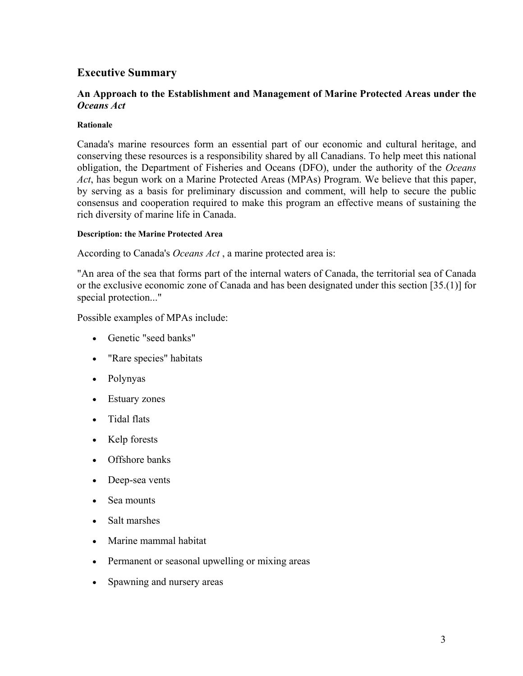## **Executive Summary**

## **An Approach to the Establishment and Management of Marine Protected Areas under the** *Oceans Act*

#### **Rationale**

Canada's marine resources form an essential part of our economic and cultural heritage, and conserving these resources is a responsibility shared by all Canadians. To help meet this national obligation, the Department of Fisheries and Oceans (DFO), under the authority of the *Oceans Act*, has begun work on a Marine Protected Areas (MPAs) Program. We believe that this paper, by serving as a basis for preliminary discussion and comment, will help to secure the public consensus and cooperation required to make this program an effective means of sustaining the rich diversity of marine life in Canada.

#### **Description: the Marine Protected Area**

According to Canada's *Oceans Act* , a marine protected area is:

"An area of the sea that forms part of the internal waters of Canada, the territorial sea of Canada or the exclusive economic zone of Canada and has been designated under this section [35.(1)] for special protection..."

Possible examples of MPAs include:

- Genetic "seed banks"
- "Rare species" habitats
- Polynyas
- Estuary zones
- Tidal flats
- Kelp forests
- Offshore banks
- Deep-sea vents
- Sea mounts
- Salt marshes
- Marine mammal habitat
- Permanent or seasonal upwelling or mixing areas
- Spawning and nursery areas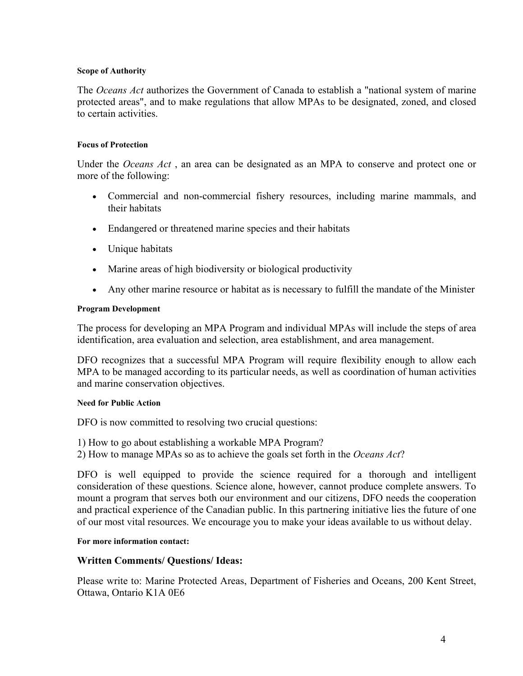#### **Scope of Authority**

The *Oceans Act* authorizes the Government of Canada to establish a "national system of marine protected areas", and to make regulations that allow MPAs to be designated, zoned, and closed to certain activities.

#### **Focus of Protection**

Under the *Oceans Act* , an area can be designated as an MPA to conserve and protect one or more of the following:

- Commercial and non-commercial fishery resources, including marine mammals, and their habitats
- Endangered or threatened marine species and their habitats
- Unique habitats
- Marine areas of high biodiversity or biological productivity
- Any other marine resource or habitat as is necessary to fulfill the mandate of the Minister

#### **Program Development**

The process for developing an MPA Program and individual MPAs will include the steps of area identification, area evaluation and selection, area establishment, and area management.

DFO recognizes that a successful MPA Program will require flexibility enough to allow each MPA to be managed according to its particular needs, as well as coordination of human activities and marine conservation objectives.

#### **Need for Public Action**

DFO is now committed to resolving two crucial questions:

1) How to go about establishing a workable MPA Program?

2) How to manage MPAs so as to achieve the goals set forth in the *Oceans Act*?

DFO is well equipped to provide the science required for a thorough and intelligent consideration of these questions. Science alone, however, cannot produce complete answers. To mount a program that serves both our environment and our citizens, DFO needs the cooperation and practical experience of the Canadian public. In this partnering initiative lies the future of one of our most vital resources. We encourage you to make your ideas available to us without delay.

#### **For more information contact:**

#### **Written Comments/ Questions/ Ideas:**

Please write to: Marine Protected Areas, Department of Fisheries and Oceans, 200 Kent Street, Ottawa, Ontario K1A 0E6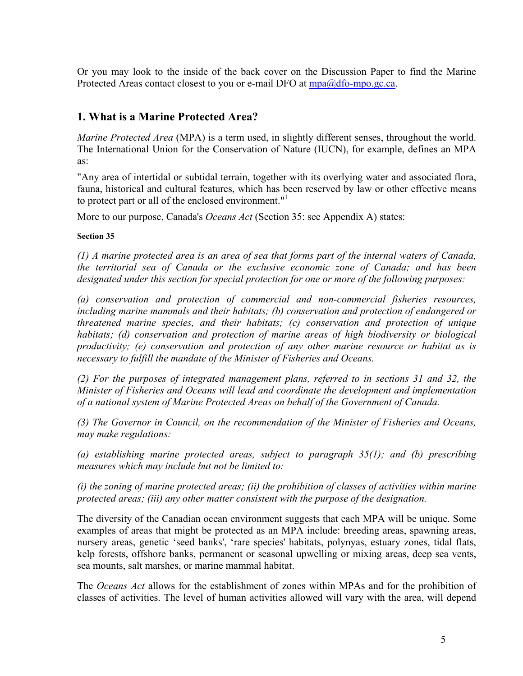Or you may look to the inside of the back cover on the Discussion Paper to find the Marine Protected Areas contact closest to you or e-mail DFO at  $mpa(\omega)$ dfo-mpo.gc.ca.

## **1. What is a Marine Protected Area?**

*Marine Protected Area* (MPA) is a term used, in slightly different senses, throughout the world. The International Union for the Conservation of Nature (IUCN), for example, defines an MPA as:

"Any area of intertidal or subtidal terrain, together with its overlying water and associated flora, fauna, historical and cultural features, which has been reserved by law or other effective means to protect part or all of the enclosed environment."<sup>1</sup>

More to our purpose, Canada's *Oceans Act* (Section 35: see Appendix A) states:

#### **Section 35**

*(1) A marine protected area is an area of sea that forms part of the internal waters of Canada, the territorial sea of Canada or the exclusive economic zone of Canada; and has been designated under this section for special protection for one or more of the following purposes:*

*(a) conservation and protection of commercial and non-commercial fisheries resources, including marine mammals and their habitats; (b) conservation and protection of endangered or threatened marine species, and their habitats; (c) conservation and protection of unique habitats; (d) conservation and protection of marine areas of high biodiversity or biological productivity; (e) conservation and protection of any other marine resource or habitat as is necessary to fulfill the mandate of the Minister of Fisheries and Oceans.*

*(2) For the purposes of integrated management plans, referred to in sections 31 and 32, the Minister of Fisheries and Oceans will lead and coordinate the development and implementation of a national system of Marine Protected Areas on behalf of the Government of Canada.*

*(3) The Governor in Council, on the recommendation of the Minister of Fisheries and Oceans, may make regulations:*

*(a) establishing marine protected areas, subject to paragraph 35(1); and (b) prescribing measures which may include but not be limited to:*

*(i) the zoning of marine protected areas; (ii) the prohibition of classes of activities within marine protected areas; (iii) any other matter consistent with the purpose of the designation.*

The diversity of the Canadian ocean environment suggests that each MPA will be unique. Some examples of areas that might be protected as an MPA include: breeding areas, spawning areas, nursery areas, genetic 'seed banks', 'rare species' habitats, polynyas, estuary zones, tidal flats, kelp forests, offshore banks, permanent or seasonal upwelling or mixing areas, deep sea vents, sea mounts, salt marshes, or marine mammal habitat.

The *Oceans Act* allows for the establishment of zones within MPAs and for the prohibition of classes of activities. The level of human activities allowed will vary with the area, will depend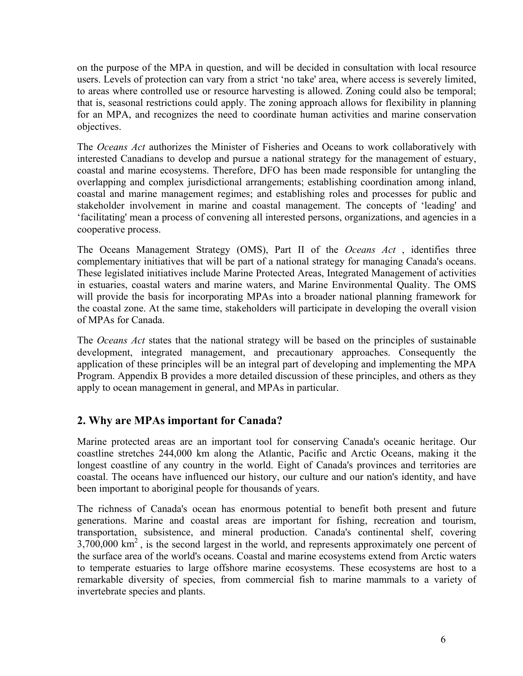on the purpose of the MPA in question, and will be decided in consultation with local resource users. Levels of protection can vary from a strict 'no take' area, where access is severely limited, to areas where controlled use or resource harvesting is allowed. Zoning could also be temporal; that is, seasonal restrictions could apply. The zoning approach allows for flexibility in planning for an MPA, and recognizes the need to coordinate human activities and marine conservation objectives.

The *Oceans Act* authorizes the Minister of Fisheries and Oceans to work collaboratively with interested Canadians to develop and pursue a national strategy for the management of estuary, coastal and marine ecosystems. Therefore, DFO has been made responsible for untangling the overlapping and complex jurisdictional arrangements; establishing coordination among inland, coastal and marine management regimes; and establishing roles and processes for public and stakeholder involvement in marine and coastal management. The concepts of 'leading' and 'facilitating' mean a process of convening all interested persons, organizations, and agencies in a cooperative process.

The Oceans Management Strategy (OMS), Part II of the *Oceans Act* , identifies three complementary initiatives that will be part of a national strategy for managing Canada's oceans. These legislated initiatives include Marine Protected Areas, Integrated Management of activities in estuaries, coastal waters and marine waters, and Marine Environmental Quality. The OMS will provide the basis for incorporating MPAs into a broader national planning framework for the coastal zone. At the same time, stakeholders will participate in developing the overall vision of MPAs for Canada.

The *Oceans Act* states that the national strategy will be based on the principles of sustainable development, integrated management, and precautionary approaches. Consequently the application of these principles will be an integral part of developing and implementing the MPA Program. Appendix B provides a more detailed discussion of these principles, and others as they apply to ocean management in general, and MPAs in particular.

## **2. Why are MPAs important for Canada?**

Marine protected areas are an important tool for conserving Canada's oceanic heritage. Our coastline stretches 244,000 km along the Atlantic, Pacific and Arctic Oceans, making it the longest coastline of any country in the world. Eight of Canada's provinces and territories are coastal. The oceans have influenced our history, our culture and our nation's identity, and have been important to aboriginal people for thousands of years.

The richness of Canada's ocean has enormous potential to benefit both present and future generations. Marine and coastal areas are important for fishing, recreation and tourism, transportation, subsistence, and mineral production. Canada's continental shelf, covering  $3,700,000 \text{ km}^2$ , is the second largest in the world, and represents approximately one percent of the surface area of the world's oceans. Coastal and marine ecosystems extend from Arctic waters to temperate estuaries to large offshore marine ecosystems. These ecosystems are host to a remarkable diversity of species, from commercial fish to marine mammals to a variety of invertebrate species and plants.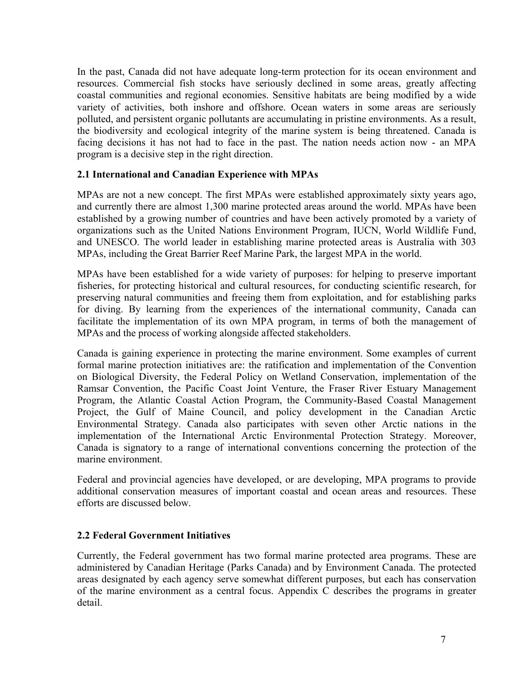In the past, Canada did not have adequate long-term protection for its ocean environment and resources. Commercial fish stocks have seriously declined in some areas, greatly affecting coastal communities and regional economies. Sensitive habitats are being modified by a wide variety of activities, both inshore and offshore. Ocean waters in some areas are seriously polluted, and persistent organic pollutants are accumulating in pristine environments. As a result, the biodiversity and ecological integrity of the marine system is being threatened. Canada is facing decisions it has not had to face in the past. The nation needs action now - an MPA program is a decisive step in the right direction.

## **2.1 International and Canadian Experience with MPAs**

MPAs are not a new concept. The first MPAs were established approximately sixty years ago, and currently there are almost 1,300 marine protected areas around the world. MPAs have been established by a growing number of countries and have been actively promoted by a variety of organizations such as the United Nations Environment Program, IUCN, World Wildlife Fund, and UNESCO. The world leader in establishing marine protected areas is Australia with 303 MPAs, including the Great Barrier Reef Marine Park, the largest MPA in the world.

MPAs have been established for a wide variety of purposes: for helping to preserve important fisheries, for protecting historical and cultural resources, for conducting scientific research, for preserving natural communities and freeing them from exploitation, and for establishing parks for diving. By learning from the experiences of the international community, Canada can facilitate the implementation of its own MPA program, in terms of both the management of MPAs and the process of working alongside affected stakeholders.

Canada is gaining experience in protecting the marine environment. Some examples of current formal marine protection initiatives are: the ratification and implementation of the Convention on Biological Diversity, the Federal Policy on Wetland Conservation, implementation of the Ramsar Convention, the Pacific Coast Joint Venture, the Fraser River Estuary Management Program, the Atlantic Coastal Action Program, the Community-Based Coastal Management Project, the Gulf of Maine Council, and policy development in the Canadian Arctic Environmental Strategy. Canada also participates with seven other Arctic nations in the implementation of the International Arctic Environmental Protection Strategy. Moreover, Canada is signatory to a range of international conventions concerning the protection of the marine environment.

Federal and provincial agencies have developed, or are developing, MPA programs to provide additional conservation measures of important coastal and ocean areas and resources. These efforts are discussed below.

## **2.2 Federal Government Initiatives**

Currently, the Federal government has two formal marine protected area programs. These are administered by Canadian Heritage (Parks Canada) and by Environment Canada. The protected areas designated by each agency serve somewhat different purposes, but each has conservation of the marine environment as a central focus. Appendix C describes the programs in greater detail.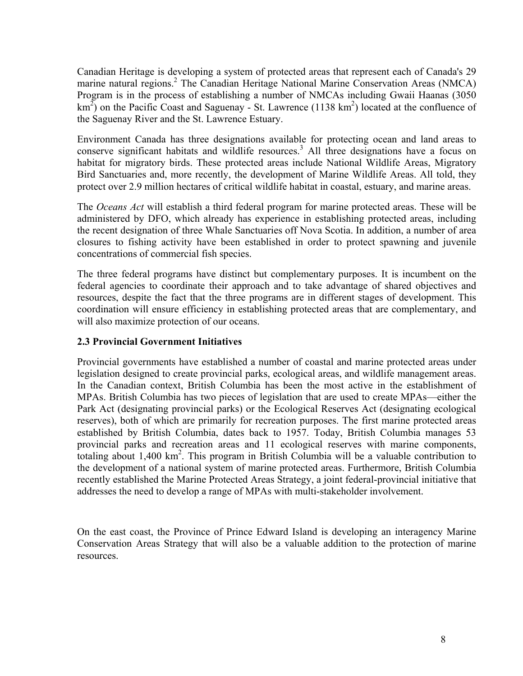Canadian Heritage is developing a system of protected areas that represent each of Canada's 29 marine natural regions.<sup>2</sup> The Canadian Heritage National Marine Conservation Areas (NMCA) Program is in the process of establishing a number of NMCAs including Gwaii Haanas (3050  $\text{km}^2$ ) on the Pacific Coast and Saguenay - St. Lawrence (1138 km<sup>2</sup>) located at the confluence of the Saguenay River and the St. Lawrence Estuary.

Environment Canada has three designations available for protecting ocean and land areas to conserve significant habitats and wildlife resources.<sup>3</sup> All three designations have a focus on habitat for migratory birds. These protected areas include National Wildlife Areas, Migratory Bird Sanctuaries and, more recently, the development of Marine Wildlife Areas. All told, they protect over 2.9 million hectares of critical wildlife habitat in coastal, estuary, and marine areas.

The *Oceans Act* will establish a third federal program for marine protected areas. These will be administered by DFO, which already has experience in establishing protected areas, including the recent designation of three Whale Sanctuaries off Nova Scotia. In addition, a number of area closures to fishing activity have been established in order to protect spawning and juvenile concentrations of commercial fish species.

The three federal programs have distinct but complementary purposes. It is incumbent on the federal agencies to coordinate their approach and to take advantage of shared objectives and resources, despite the fact that the three programs are in different stages of development. This coordination will ensure efficiency in establishing protected areas that are complementary, and will also maximize protection of our oceans.

## **2.3 Provincial Government Initiatives**

Provincial governments have established a number of coastal and marine protected areas under legislation designed to create provincial parks, ecological areas, and wildlife management areas. In the Canadian context, British Columbia has been the most active in the establishment of MPAs. British Columbia has two pieces of legislation that are used to create MPAs—either the Park Act (designating provincial parks) or the Ecological Reserves Act (designating ecological reserves), both of which are primarily for recreation purposes. The first marine protected areas established by British Columbia, dates back to 1957. Today, British Columbia manages 53 provincial parks and recreation areas and 11 ecological reserves with marine components, totaling about  $1,400 \text{ km}^2$ . This program in British Columbia will be a valuable contribution to the development of a national system of marine protected areas. Furthermore, British Columbia recently established the Marine Protected Areas Strategy, a joint federal-provincial initiative that addresses the need to develop a range of MPAs with multi-stakeholder involvement.

On the east coast, the Province of Prince Edward Island is developing an interagency Marine Conservation Areas Strategy that will also be a valuable addition to the protection of marine resources.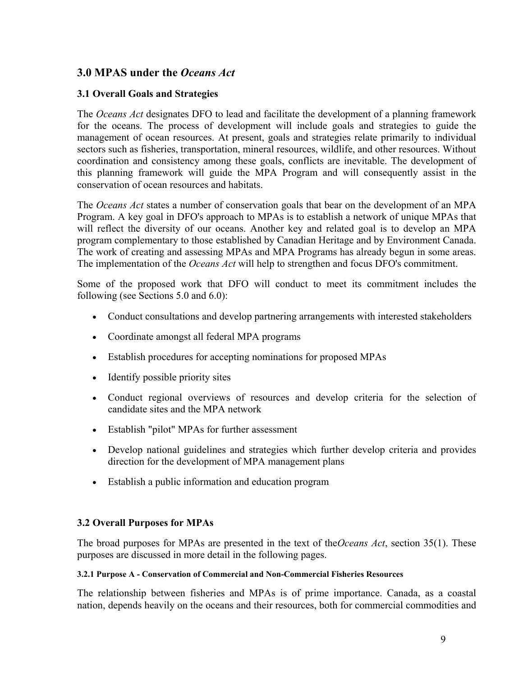## **3.0 MPAS under the** *Oceans Act*

## **3.1 Overall Goals and Strategies**

The *Oceans Act* designates DFO to lead and facilitate the development of a planning framework for the oceans. The process of development will include goals and strategies to guide the management of ocean resources. At present, goals and strategies relate primarily to individual sectors such as fisheries, transportation, mineral resources, wildlife, and other resources. Without coordination and consistency among these goals, conflicts are inevitable. The development of this planning framework will guide the MPA Program and will consequently assist in the conservation of ocean resources and habitats.

The *Oceans Act* states a number of conservation goals that bear on the development of an MPA Program. A key goal in DFO's approach to MPAs is to establish a network of unique MPAs that will reflect the diversity of our oceans. Another key and related goal is to develop an MPA program complementary to those established by Canadian Heritage and by Environment Canada. The work of creating and assessing MPAs and MPA Programs has already begun in some areas. The implementation of the *Oceans Act* will help to strengthen and focus DFO's commitment.

Some of the proposed work that DFO will conduct to meet its commitment includes the following (see Sections 5.0 and 6.0):

- Conduct consultations and develop partnering arrangements with interested stakeholders
- Coordinate amongst all federal MPA programs
- Establish procedures for accepting nominations for proposed MPAs
- Identify possible priority sites
- Conduct regional overviews of resources and develop criteria for the selection of candidate sites and the MPA network
- Establish "pilot" MPAs for further assessment
- Develop national guidelines and strategies which further develop criteria and provides direction for the development of MPA management plans
- Establish a public information and education program

#### **3.2 Overall Purposes for MPAs**

The broad purposes for MPAs are presented in the text of the*Oceans Act*, section 35(1). These purposes are discussed in more detail in the following pages.

#### **3.2.1 Purpose A - Conservation of Commercial and Non-Commercial Fisheries Resources**

The relationship between fisheries and MPAs is of prime importance. Canada, as a coastal nation, depends heavily on the oceans and their resources, both for commercial commodities and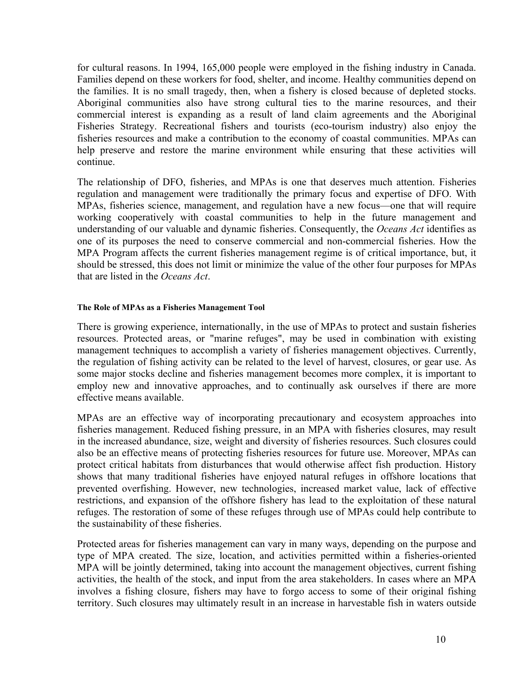for cultural reasons. In 1994, 165,000 people were employed in the fishing industry in Canada. Families depend on these workers for food, shelter, and income. Healthy communities depend on the families. It is no small tragedy, then, when a fishery is closed because of depleted stocks. Aboriginal communities also have strong cultural ties to the marine resources, and their commercial interest is expanding as a result of land claim agreements and the Aboriginal Fisheries Strategy. Recreational fishers and tourists (eco-tourism industry) also enjoy the fisheries resources and make a contribution to the economy of coastal communities. MPAs can help preserve and restore the marine environment while ensuring that these activities will continue.

The relationship of DFO, fisheries, and MPAs is one that deserves much attention. Fisheries regulation and management were traditionally the primary focus and expertise of DFO. With MPAs, fisheries science, management, and regulation have a new focus—one that will require working cooperatively with coastal communities to help in the future management and understanding of our valuable and dynamic fisheries. Consequently, the *Oceans Act* identifies as one of its purposes the need to conserve commercial and non-commercial fisheries. How the MPA Program affects the current fisheries management regime is of critical importance, but, it should be stressed, this does not limit or minimize the value of the other four purposes for MPAs that are listed in the *Oceans Act*.

#### **The Role of MPAs as a Fisheries Management Tool**

There is growing experience, internationally, in the use of MPAs to protect and sustain fisheries resources. Protected areas, or "marine refuges", may be used in combination with existing management techniques to accomplish a variety of fisheries management objectives. Currently, the regulation of fishing activity can be related to the level of harvest, closures, or gear use. As some major stocks decline and fisheries management becomes more complex, it is important to employ new and innovative approaches, and to continually ask ourselves if there are more effective means available.

MPAs are an effective way of incorporating precautionary and ecosystem approaches into fisheries management. Reduced fishing pressure, in an MPA with fisheries closures, may result in the increased abundance, size, weight and diversity of fisheries resources. Such closures could also be an effective means of protecting fisheries resources for future use. Moreover, MPAs can protect critical habitats from disturbances that would otherwise affect fish production. History shows that many traditional fisheries have enjoyed natural refuges in offshore locations that prevented overfishing. However, new technologies, increased market value, lack of effective restrictions, and expansion of the offshore fishery has lead to the exploitation of these natural refuges. The restoration of some of these refuges through use of MPAs could help contribute to the sustainability of these fisheries.

Protected areas for fisheries management can vary in many ways, depending on the purpose and type of MPA created. The size, location, and activities permitted within a fisheries-oriented MPA will be jointly determined, taking into account the management objectives, current fishing activities, the health of the stock, and input from the area stakeholders. In cases where an MPA involves a fishing closure, fishers may have to forgo access to some of their original fishing territory. Such closures may ultimately result in an increase in harvestable fish in waters outside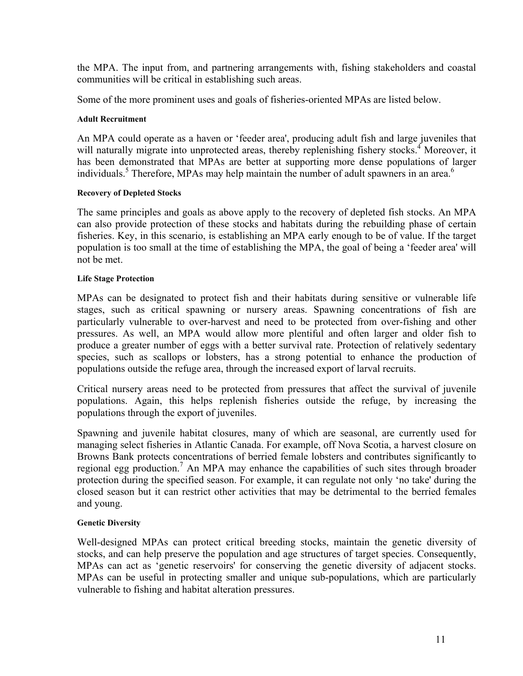the MPA. The input from, and partnering arrangements with, fishing stakeholders and coastal communities will be critical in establishing such areas.

Some of the more prominent uses and goals of fisheries-oriented MPAs are listed below.

#### **Adult Recruitment**

An MPA could operate as a haven or 'feeder area', producing adult fish and large juveniles that will naturally migrate into unprotected areas, thereby replenishing fishery stocks.<sup>4</sup> Moreover, it has been demonstrated that MPAs are better at supporting more dense populations of larger individuals.<sup>5</sup> Therefore, MPAs may help maintain the number of adult spawners in an area.<sup>6</sup>

#### **Recovery of Depleted Stocks**

The same principles and goals as above apply to the recovery of depleted fish stocks. An MPA can also provide protection of these stocks and habitats during the rebuilding phase of certain fisheries. Key, in this scenario, is establishing an MPA early enough to be of value. If the target population is too small at the time of establishing the MPA, the goal of being a 'feeder area' will not be met.

#### **Life Stage Protection**

MPAs can be designated to protect fish and their habitats during sensitive or vulnerable life stages, such as critical spawning or nursery areas. Spawning concentrations of fish are particularly vulnerable to over-harvest and need to be protected from over-fishing and other pressures. As well, an MPA would allow more plentiful and often larger and older fish to produce a greater number of eggs with a better survival rate. Protection of relatively sedentary species, such as scallops or lobsters, has a strong potential to enhance the production of populations outside the refuge area, through the increased export of larval recruits.

Critical nursery areas need to be protected from pressures that affect the survival of juvenile populations. Again, this helps replenish fisheries outside the refuge, by increasing the populations through the export of juveniles.

Spawning and juvenile habitat closures, many of which are seasonal, are currently used for managing select fisheries in Atlantic Canada. For example, off Nova Scotia, a harvest closure on Browns Bank protects concentrations of berried female lobsters and contributes significantly to regional egg production.<sup>7</sup> An MPA may enhance the capabilities of such sites through broader protection during the specified season. For example, it can regulate not only 'no take' during the closed season but it can restrict other activities that may be detrimental to the berried females and young.

#### **Genetic Diversity**

Well-designed MPAs can protect critical breeding stocks, maintain the genetic diversity of stocks, and can help preserve the population and age structures of target species. Consequently, MPAs can act as 'genetic reservoirs' for conserving the genetic diversity of adjacent stocks. MPAs can be useful in protecting smaller and unique sub-populations, which are particularly vulnerable to fishing and habitat alteration pressures.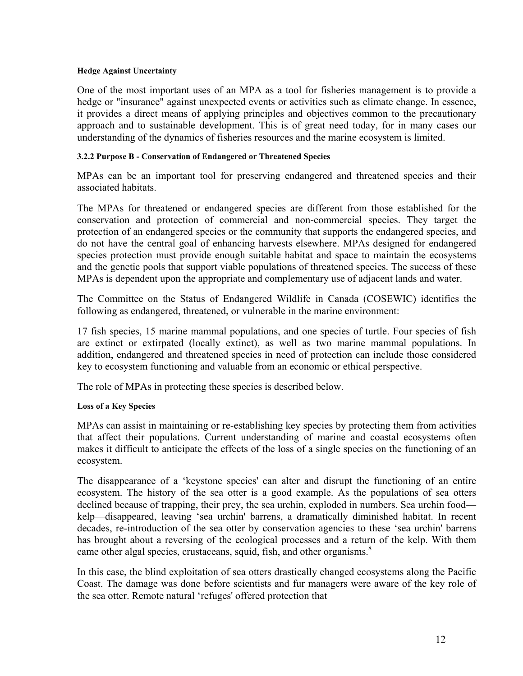#### **Hedge Against Uncertainty**

One of the most important uses of an MPA as a tool for fisheries management is to provide a hedge or "insurance" against unexpected events or activities such as climate change. In essence, it provides a direct means of applying principles and objectives common to the precautionary approach and to sustainable development. This is of great need today, for in many cases our understanding of the dynamics of fisheries resources and the marine ecosystem is limited.

#### **3.2.2 Purpose B - Conservation of Endangered or Threatened Species**

MPAs can be an important tool for preserving endangered and threatened species and their associated habitats.

The MPAs for threatened or endangered species are different from those established for the conservation and protection of commercial and non-commercial species. They target the protection of an endangered species or the community that supports the endangered species, and do not have the central goal of enhancing harvests elsewhere. MPAs designed for endangered species protection must provide enough suitable habitat and space to maintain the ecosystems and the genetic pools that support viable populations of threatened species. The success of these MPAs is dependent upon the appropriate and complementary use of adjacent lands and water.

The Committee on the Status of Endangered Wildlife in Canada (COSEWIC) identifies the following as endangered, threatened, or vulnerable in the marine environment:

17 fish species, 15 marine mammal populations, and one species of turtle. Four species of fish are extinct or extirpated (locally extinct), as well as two marine mammal populations. In addition, endangered and threatened species in need of protection can include those considered key to ecosystem functioning and valuable from an economic or ethical perspective.

The role of MPAs in protecting these species is described below.

#### **Loss of a Key Species**

MPAs can assist in maintaining or re-establishing key species by protecting them from activities that affect their populations. Current understanding of marine and coastal ecosystems often makes it difficult to anticipate the effects of the loss of a single species on the functioning of an ecosystem.

The disappearance of a 'keystone species' can alter and disrupt the functioning of an entire ecosystem. The history of the sea otter is a good example. As the populations of sea otters declined because of trapping, their prey, the sea urchin, exploded in numbers. Sea urchin food kelp—disappeared, leaving 'sea urchin' barrens, a dramatically diminished habitat. In recent decades, re-introduction of the sea otter by conservation agencies to these 'sea urchin' barrens has brought about a reversing of the ecological processes and a return of the kelp. With them came other algal species, crustaceans, squid, fish, and other organisms.<sup>8</sup>

In this case, the blind exploitation of sea otters drastically changed ecosystems along the Pacific Coast. The damage was done before scientists and fur managers were aware of the key role of the sea otter. Remote natural 'refuges' offered protection that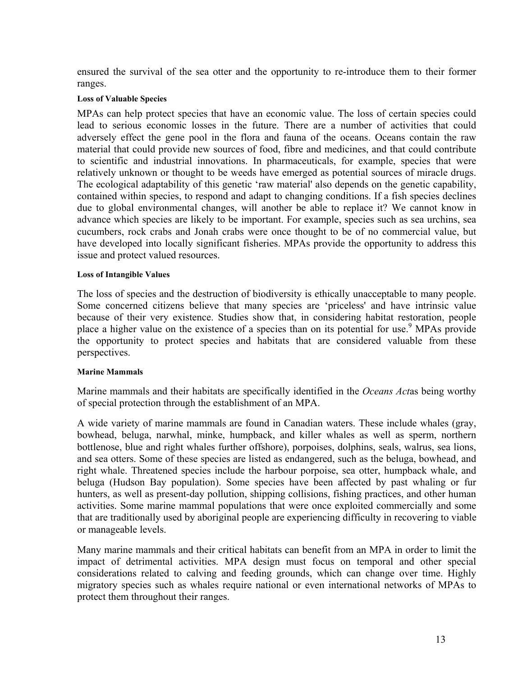ensured the survival of the sea otter and the opportunity to re-introduce them to their former ranges.

#### **Loss of Valuable Species**

MPAs can help protect species that have an economic value. The loss of certain species could lead to serious economic losses in the future. There are a number of activities that could adversely effect the gene pool in the flora and fauna of the oceans. Oceans contain the raw material that could provide new sources of food, fibre and medicines, and that could contribute to scientific and industrial innovations. In pharmaceuticals, for example, species that were relatively unknown or thought to be weeds have emerged as potential sources of miracle drugs. The ecological adaptability of this genetic 'raw material' also depends on the genetic capability, contained within species, to respond and adapt to changing conditions. If a fish species declines due to global environmental changes, will another be able to replace it? We cannot know in advance which species are likely to be important. For example, species such as sea urchins, sea cucumbers, rock crabs and Jonah crabs were once thought to be of no commercial value, but have developed into locally significant fisheries. MPAs provide the opportunity to address this issue and protect valued resources.

#### **Loss of Intangible Values**

The loss of species and the destruction of biodiversity is ethically unacceptable to many people. Some concerned citizens believe that many species are 'priceless' and have intrinsic value because of their very existence. Studies show that, in considering habitat restoration, people place a higher value on the existence of a species than on its potential for use.<sup>9</sup> MPAs provide the opportunity to protect species and habitats that are considered valuable from these perspectives.

#### **Marine Mammals**

Marine mammals and their habitats are specifically identified in the *Oceans Act*as being worthy of special protection through the establishment of an MPA.

A wide variety of marine mammals are found in Canadian waters. These include whales (gray, bowhead, beluga, narwhal, minke, humpback, and killer whales as well as sperm, northern bottlenose, blue and right whales further offshore), porpoises, dolphins, seals, walrus, sea lions, and sea otters. Some of these species are listed as endangered, such as the beluga, bowhead, and right whale. Threatened species include the harbour porpoise, sea otter, humpback whale, and beluga (Hudson Bay population). Some species have been affected by past whaling or fur hunters, as well as present-day pollution, shipping collisions, fishing practices, and other human activities. Some marine mammal populations that were once exploited commercially and some that are traditionally used by aboriginal people are experiencing difficulty in recovering to viable or manageable levels.

Many marine mammals and their critical habitats can benefit from an MPA in order to limit the impact of detrimental activities. MPA design must focus on temporal and other special considerations related to calving and feeding grounds, which can change over time. Highly migratory species such as whales require national or even international networks of MPAs to protect them throughout their ranges.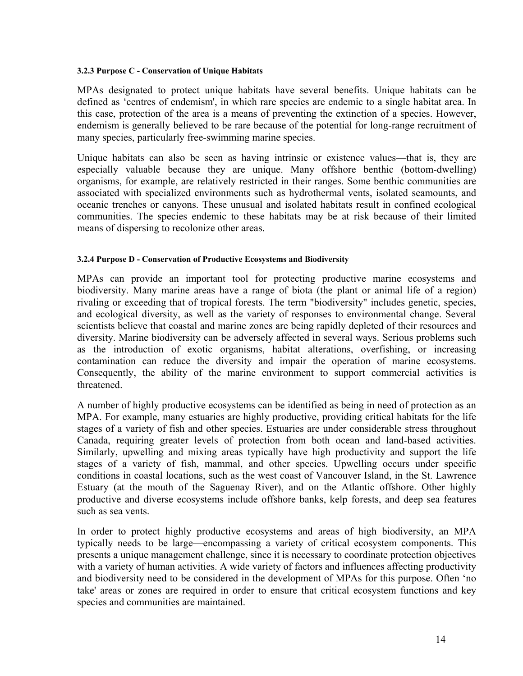#### **3.2.3 Purpose C - Conservation of Unique Habitats**

MPAs designated to protect unique habitats have several benefits. Unique habitats can be defined as 'centres of endemism', in which rare species are endemic to a single habitat area. In this case, protection of the area is a means of preventing the extinction of a species. However, endemism is generally believed to be rare because of the potential for long-range recruitment of many species, particularly free-swimming marine species.

Unique habitats can also be seen as having intrinsic or existence values—that is, they are especially valuable because they are unique. Many offshore benthic (bottom-dwelling) organisms, for example, are relatively restricted in their ranges. Some benthic communities are associated with specialized environments such as hydrothermal vents, isolated seamounts, and oceanic trenches or canyons. These unusual and isolated habitats result in confined ecological communities. The species endemic to these habitats may be at risk because of their limited means of dispersing to recolonize other areas.

#### **3.2.4 Purpose D - Conservation of Productive Ecosystems and Biodiversity**

MPAs can provide an important tool for protecting productive marine ecosystems and biodiversity. Many marine areas have a range of biota (the plant or animal life of a region) rivaling or exceeding that of tropical forests. The term "biodiversity" includes genetic, species, and ecological diversity, as well as the variety of responses to environmental change. Several scientists believe that coastal and marine zones are being rapidly depleted of their resources and diversity. Marine biodiversity can be adversely affected in several ways. Serious problems such as the introduction of exotic organisms, habitat alterations, overfishing, or increasing contamination can reduce the diversity and impair the operation of marine ecosystems. Consequently, the ability of the marine environment to support commercial activities is threatened.

A number of highly productive ecosystems can be identified as being in need of protection as an MPA. For example, many estuaries are highly productive, providing critical habitats for the life stages of a variety of fish and other species. Estuaries are under considerable stress throughout Canada, requiring greater levels of protection from both ocean and land-based activities. Similarly, upwelling and mixing areas typically have high productivity and support the life stages of a variety of fish, mammal, and other species. Upwelling occurs under specific conditions in coastal locations, such as the west coast of Vancouver Island, in the St. Lawrence Estuary (at the mouth of the Saguenay River), and on the Atlantic offshore. Other highly productive and diverse ecosystems include offshore banks, kelp forests, and deep sea features such as sea vents.

In order to protect highly productive ecosystems and areas of high biodiversity, an MPA typically needs to be large—encompassing a variety of critical ecosystem components. This presents a unique management challenge, since it is necessary to coordinate protection objectives with a variety of human activities. A wide variety of factors and influences affecting productivity and biodiversity need to be considered in the development of MPAs for this purpose. Often 'no take' areas or zones are required in order to ensure that critical ecosystem functions and key species and communities are maintained.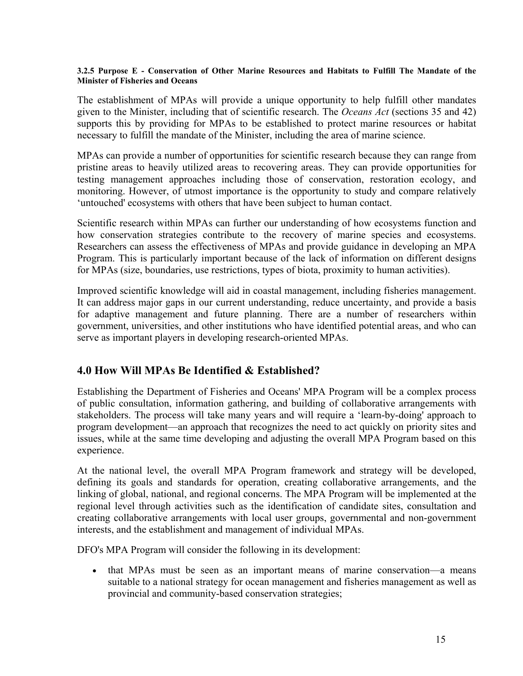#### **3.2.5 Purpose E - Conservation of Other Marine Resources and Habitats to Fulfill The Mandate of the Minister of Fisheries and Oceans**

The establishment of MPAs will provide a unique opportunity to help fulfill other mandates given to the Minister, including that of scientific research. The *Oceans Act* (sections 35 and 42) supports this by providing for MPAs to be established to protect marine resources or habitat necessary to fulfill the mandate of the Minister, including the area of marine science.

MPAs can provide a number of opportunities for scientific research because they can range from pristine areas to heavily utilized areas to recovering areas. They can provide opportunities for testing management approaches including those of conservation, restoration ecology, and monitoring. However, of utmost importance is the opportunity to study and compare relatively 'untouched' ecosystems with others that have been subject to human contact.

Scientific research within MPAs can further our understanding of how ecosystems function and how conservation strategies contribute to the recovery of marine species and ecosystems. Researchers can assess the effectiveness of MPAs and provide guidance in developing an MPA Program. This is particularly important because of the lack of information on different designs for MPAs (size, boundaries, use restrictions, types of biota, proximity to human activities).

Improved scientific knowledge will aid in coastal management, including fisheries management. It can address major gaps in our current understanding, reduce uncertainty, and provide a basis for adaptive management and future planning. There are a number of researchers within government, universities, and other institutions who have identified potential areas, and who can serve as important players in developing research-oriented MPAs.

## **4.0 How Will MPAs Be Identified & Established?**

Establishing the Department of Fisheries and Oceans' MPA Program will be a complex process of public consultation, information gathering, and building of collaborative arrangements with stakeholders. The process will take many years and will require a 'learn-by-doing' approach to program development—an approach that recognizes the need to act quickly on priority sites and issues, while at the same time developing and adjusting the overall MPA Program based on this experience.

At the national level, the overall MPA Program framework and strategy will be developed, defining its goals and standards for operation, creating collaborative arrangements, and the linking of global, national, and regional concerns. The MPA Program will be implemented at the regional level through activities such as the identification of candidate sites, consultation and creating collaborative arrangements with local user groups, governmental and non-government interests, and the establishment and management of individual MPAs.

DFO's MPA Program will consider the following in its development:

• that MPAs must be seen as an important means of marine conservation—a means suitable to a national strategy for ocean management and fisheries management as well as provincial and community-based conservation strategies;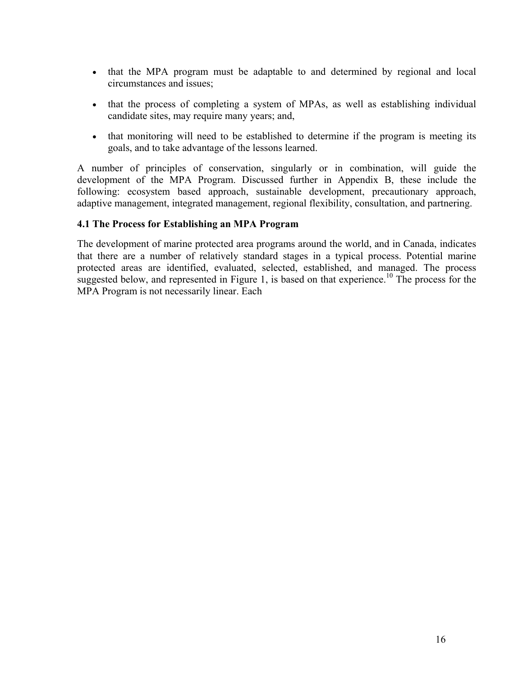- that the MPA program must be adaptable to and determined by regional and local circumstances and issues;
- that the process of completing a system of MPAs, as well as establishing individual candidate sites, may require many years; and,
- that monitoring will need to be established to determine if the program is meeting its goals, and to take advantage of the lessons learned.

A number of principles of conservation, singularly or in combination, will guide the development of the MPA Program. Discussed further in Appendix B, these include the following: ecosystem based approach, sustainable development, precautionary approach, adaptive management, integrated management, regional flexibility, consultation, and partnering.

## **4.1 The Process for Establishing an MPA Program**

The development of marine protected area programs around the world, and in Canada, indicates that there are a number of relatively standard stages in a typical process. Potential marine protected areas are identified, evaluated, selected, established, and managed. The process suggested below, and represented in Figure 1, is based on that experience.<sup>10</sup> The process for the MPA Program is not necessarily linear. Each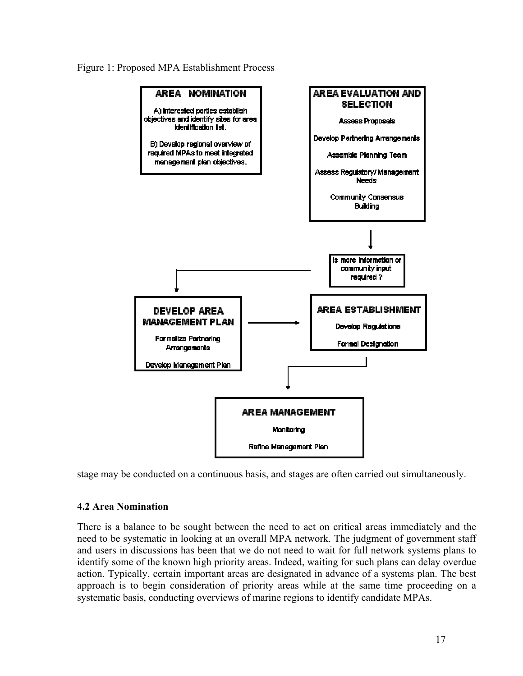



stage may be conducted on a continuous basis, and stages are often carried out simultaneously.

## **4.2 Area Nomination**

There is a balance to be sought between the need to act on critical areas immediately and the need to be systematic in looking at an overall MPA network. The judgment of government staff and users in discussions has been that we do not need to wait for full network systems plans to identify some of the known high priority areas. Indeed, waiting for such plans can delay overdue action. Typically, certain important areas are designated in advance of a systems plan. The best approach is to begin consideration of priority areas while at the same time proceeding on a systematic basis, conducting overviews of marine regions to identify candidate MPAs.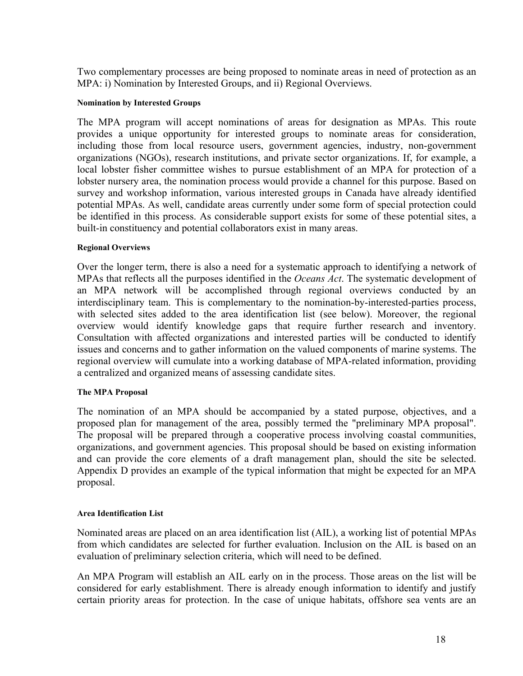Two complementary processes are being proposed to nominate areas in need of protection as an MPA: i) Nomination by Interested Groups, and ii) Regional Overviews.

#### **Nomination by Interested Groups**

The MPA program will accept nominations of areas for designation as MPAs. This route provides a unique opportunity for interested groups to nominate areas for consideration, including those from local resource users, government agencies, industry, non-government organizations (NGOs), research institutions, and private sector organizations. If, for example, a local lobster fisher committee wishes to pursue establishment of an MPA for protection of a lobster nursery area, the nomination process would provide a channel for this purpose. Based on survey and workshop information, various interested groups in Canada have already identified potential MPAs. As well, candidate areas currently under some form of special protection could be identified in this process. As considerable support exists for some of these potential sites, a built-in constituency and potential collaborators exist in many areas.

#### **Regional Overviews**

Over the longer term, there is also a need for a systematic approach to identifying a network of MPAs that reflects all the purposes identified in the *Oceans Act*. The systematic development of an MPA network will be accomplished through regional overviews conducted by an interdisciplinary team. This is complementary to the nomination-by-interested-parties process, with selected sites added to the area identification list (see below). Moreover, the regional overview would identify knowledge gaps that require further research and inventory. Consultation with affected organizations and interested parties will be conducted to identify issues and concerns and to gather information on the valued components of marine systems. The regional overview will cumulate into a working database of MPA-related information, providing a centralized and organized means of assessing candidate sites.

#### **The MPA Proposal**

The nomination of an MPA should be accompanied by a stated purpose, objectives, and a proposed plan for management of the area, possibly termed the "preliminary MPA proposal". The proposal will be prepared through a cooperative process involving coastal communities, organizations, and government agencies. This proposal should be based on existing information and can provide the core elements of a draft management plan, should the site be selected. Appendix D provides an example of the typical information that might be expected for an MPA proposal.

#### **Area Identification List**

Nominated areas are placed on an area identification list (AIL), a working list of potential MPAs from which candidates are selected for further evaluation. Inclusion on the AIL is based on an evaluation of preliminary selection criteria, which will need to be defined.

An MPA Program will establish an AIL early on in the process. Those areas on the list will be considered for early establishment. There is already enough information to identify and justify certain priority areas for protection. In the case of unique habitats, offshore sea vents are an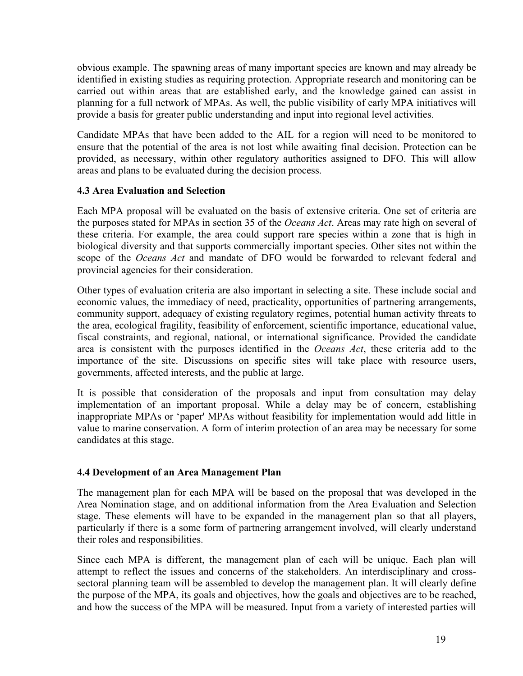obvious example. The spawning areas of many important species are known and may already be identified in existing studies as requiring protection. Appropriate research and monitoring can be carried out within areas that are established early, and the knowledge gained can assist in planning for a full network of MPAs. As well, the public visibility of early MPA initiatives will provide a basis for greater public understanding and input into regional level activities.

Candidate MPAs that have been added to the AIL for a region will need to be monitored to ensure that the potential of the area is not lost while awaiting final decision. Protection can be provided, as necessary, within other regulatory authorities assigned to DFO. This will allow areas and plans to be evaluated during the decision process.

## **4.3 Area Evaluation and Selection**

Each MPA proposal will be evaluated on the basis of extensive criteria. One set of criteria are the purposes stated for MPAs in section 35 of the *Oceans Act*. Areas may rate high on several of these criteria. For example, the area could support rare species within a zone that is high in biological diversity and that supports commercially important species. Other sites not within the scope of the *Oceans Act* and mandate of DFO would be forwarded to relevant federal and provincial agencies for their consideration.

Other types of evaluation criteria are also important in selecting a site. These include social and economic values, the immediacy of need, practicality, opportunities of partnering arrangements, community support, adequacy of existing regulatory regimes, potential human activity threats to the area, ecological fragility, feasibility of enforcement, scientific importance, educational value, fiscal constraints, and regional, national, or international significance. Provided the candidate area is consistent with the purposes identified in the *Oceans Act*, these criteria add to the importance of the site. Discussions on specific sites will take place with resource users, governments, affected interests, and the public at large.

It is possible that consideration of the proposals and input from consultation may delay implementation of an important proposal. While a delay may be of concern, establishing inappropriate MPAs or 'paper' MPAs without feasibility for implementation would add little in value to marine conservation. A form of interim protection of an area may be necessary for some candidates at this stage.

## **4.4 Development of an Area Management Plan**

The management plan for each MPA will be based on the proposal that was developed in the Area Nomination stage, and on additional information from the Area Evaluation and Selection stage. These elements will have to be expanded in the management plan so that all players, particularly if there is a some form of partnering arrangement involved, will clearly understand their roles and responsibilities.

Since each MPA is different, the management plan of each will be unique. Each plan will attempt to reflect the issues and concerns of the stakeholders. An interdisciplinary and crosssectoral planning team will be assembled to develop the management plan. It will clearly define the purpose of the MPA, its goals and objectives, how the goals and objectives are to be reached, and how the success of the MPA will be measured. Input from a variety of interested parties will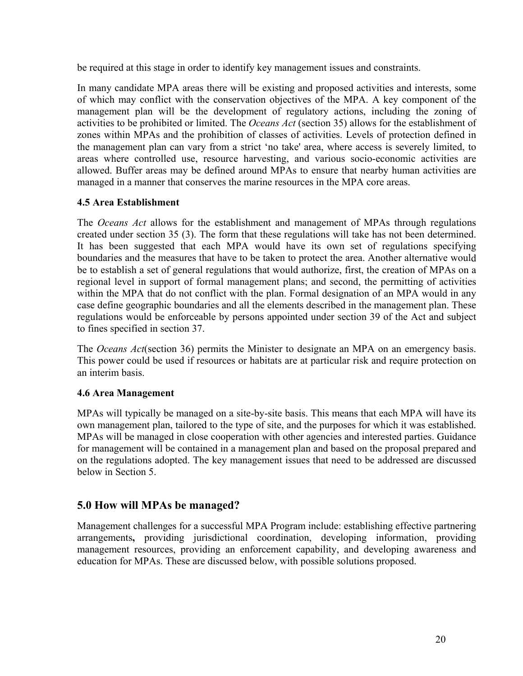be required at this stage in order to identify key management issues and constraints.

In many candidate MPA areas there will be existing and proposed activities and interests, some of which may conflict with the conservation objectives of the MPA. A key component of the management plan will be the development of regulatory actions, including the zoning of activities to be prohibited or limited. The *Oceans Act* (section 35) allows for the establishment of zones within MPAs and the prohibition of classes of activities. Levels of protection defined in the management plan can vary from a strict 'no take' area, where access is severely limited, to areas where controlled use, resource harvesting, and various socio-economic activities are allowed. Buffer areas may be defined around MPAs to ensure that nearby human activities are managed in a manner that conserves the marine resources in the MPA core areas.

## **4.5 Area Establishment**

The *Oceans Act* allows for the establishment and management of MPAs through regulations created under section 35 (3). The form that these regulations will take has not been determined. It has been suggested that each MPA would have its own set of regulations specifying boundaries and the measures that have to be taken to protect the area. Another alternative would be to establish a set of general regulations that would authorize, first, the creation of MPAs on a regional level in support of formal management plans; and second, the permitting of activities within the MPA that do not conflict with the plan. Formal designation of an MPA would in any case define geographic boundaries and all the elements described in the management plan. These regulations would be enforceable by persons appointed under section 39 of the Act and subject to fines specified in section 37.

The *Oceans Act*(section 36) permits the Minister to designate an MPA on an emergency basis. This power could be used if resources or habitats are at particular risk and require protection on an interim basis.

## **4.6 Area Management**

MPAs will typically be managed on a site-by-site basis. This means that each MPA will have its own management plan, tailored to the type of site, and the purposes for which it was established. MPAs will be managed in close cooperation with other agencies and interested parties. Guidance for management will be contained in a management plan and based on the proposal prepared and on the regulations adopted. The key management issues that need to be addressed are discussed below in Section 5.

## **5.0 How will MPAs be managed?**

Management challenges for a successful MPA Program include: establishing effective partnering arrangements**,** providing jurisdictional coordination, developing information, providing management resources, providing an enforcement capability, and developing awareness and education for MPAs. These are discussed below, with possible solutions proposed.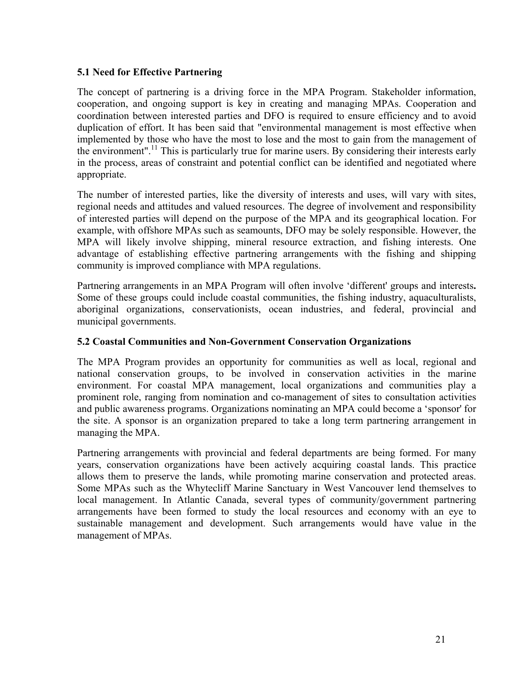## **5.1 Need for Effective Partnering**

The concept of partnering is a driving force in the MPA Program. Stakeholder information, cooperation, and ongoing support is key in creating and managing MPAs. Cooperation and coordination between interested parties and DFO is required to ensure efficiency and to avoid duplication of effort. It has been said that "environmental management is most effective when implemented by those who have the most to lose and the most to gain from the management of the environment".<sup>11</sup> This is particularly true for marine users. By considering their interests early in the process, areas of constraint and potential conflict can be identified and negotiated where appropriate.

The number of interested parties, like the diversity of interests and uses, will vary with sites, regional needs and attitudes and valued resources. The degree of involvement and responsibility of interested parties will depend on the purpose of the MPA and its geographical location. For example, with offshore MPAs such as seamounts, DFO may be solely responsible. However, the MPA will likely involve shipping, mineral resource extraction, and fishing interests. One advantage of establishing effective partnering arrangements with the fishing and shipping community is improved compliance with MPA regulations.

Partnering arrangements in an MPA Program will often involve 'different' groups and interests**.**  Some of these groups could include coastal communities, the fishing industry, aquaculturalists, aboriginal organizations, conservationists, ocean industries, and federal, provincial and municipal governments.

## **5.2 Coastal Communities and Non-Government Conservation Organizations**

The MPA Program provides an opportunity for communities as well as local, regional and national conservation groups, to be involved in conservation activities in the marine environment. For coastal MPA management, local organizations and communities play a prominent role, ranging from nomination and co-management of sites to consultation activities and public awareness programs. Organizations nominating an MPA could become a 'sponsor' for the site. A sponsor is an organization prepared to take a long term partnering arrangement in managing the MPA.

Partnering arrangements with provincial and federal departments are being formed. For many years, conservation organizations have been actively acquiring coastal lands. This practice allows them to preserve the lands, while promoting marine conservation and protected areas. Some MPAs such as the Whytecliff Marine Sanctuary in West Vancouver lend themselves to local management. In Atlantic Canada, several types of community/government partnering arrangements have been formed to study the local resources and economy with an eye to sustainable management and development. Such arrangements would have value in the management of MPAs.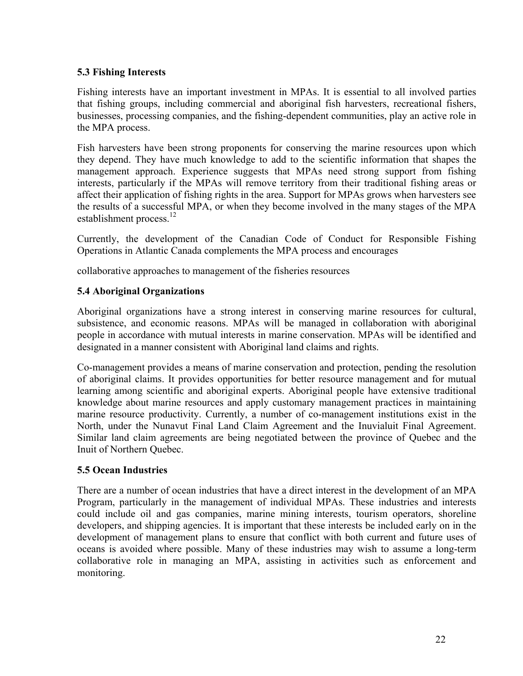## **5.3 Fishing Interests**

Fishing interests have an important investment in MPAs. It is essential to all involved parties that fishing groups, including commercial and aboriginal fish harvesters, recreational fishers, businesses, processing companies, and the fishing-dependent communities, play an active role in the MPA process.

Fish harvesters have been strong proponents for conserving the marine resources upon which they depend. They have much knowledge to add to the scientific information that shapes the management approach. Experience suggests that MPAs need strong support from fishing interests, particularly if the MPAs will remove territory from their traditional fishing areas or affect their application of fishing rights in the area. Support for MPAs grows when harvesters see the results of a successful MPA, or when they become involved in the many stages of the MPA establishment process.<sup>12</sup>

Currently, the development of the Canadian Code of Conduct for Responsible Fishing Operations in Atlantic Canada complements the MPA process and encourages

collaborative approaches to management of the fisheries resources

## **5.4 Aboriginal Organizations**

Aboriginal organizations have a strong interest in conserving marine resources for cultural, subsistence, and economic reasons. MPAs will be managed in collaboration with aboriginal people in accordance with mutual interests in marine conservation. MPAs will be identified and designated in a manner consistent with Aboriginal land claims and rights.

Co-management provides a means of marine conservation and protection, pending the resolution of aboriginal claims. It provides opportunities for better resource management and for mutual learning among scientific and aboriginal experts. Aboriginal people have extensive traditional knowledge about marine resources and apply customary management practices in maintaining marine resource productivity. Currently, a number of co-management institutions exist in the North, under the Nunavut Final Land Claim Agreement and the Inuvialuit Final Agreement. Similar land claim agreements are being negotiated between the province of Quebec and the Inuit of Northern Quebec.

## **5.5 Ocean Industries**

There are a number of ocean industries that have a direct interest in the development of an MPA Program, particularly in the management of individual MPAs. These industries and interests could include oil and gas companies, marine mining interests, tourism operators, shoreline developers, and shipping agencies. It is important that these interests be included early on in the development of management plans to ensure that conflict with both current and future uses of oceans is avoided where possible. Many of these industries may wish to assume a long-term collaborative role in managing an MPA, assisting in activities such as enforcement and monitoring.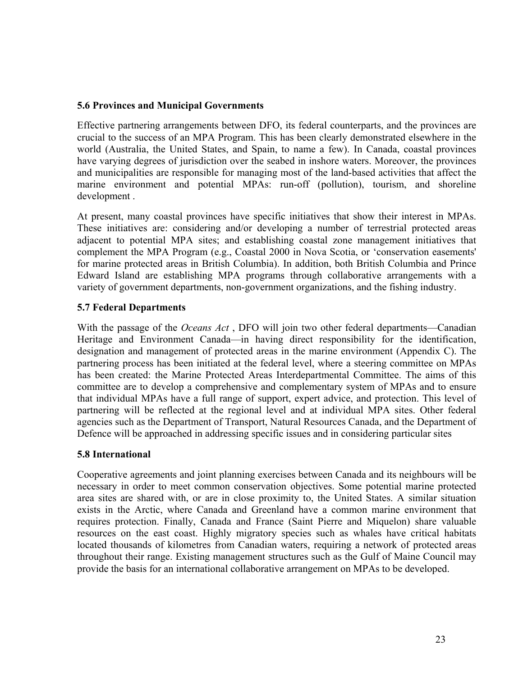## **5.6 Provinces and Municipal Governments**

Effective partnering arrangements between DFO, its federal counterparts, and the provinces are crucial to the success of an MPA Program. This has been clearly demonstrated elsewhere in the world (Australia, the United States, and Spain, to name a few). In Canada, coastal provinces have varying degrees of jurisdiction over the seabed in inshore waters. Moreover, the provinces and municipalities are responsible for managing most of the land-based activities that affect the marine environment and potential MPAs: run-off (pollution), tourism, and shoreline development .

At present, many coastal provinces have specific initiatives that show their interest in MPAs. These initiatives are: considering and/or developing a number of terrestrial protected areas adjacent to potential MPA sites; and establishing coastal zone management initiatives that complement the MPA Program (e.g., Coastal 2000 in Nova Scotia, or 'conservation easements' for marine protected areas in British Columbia). In addition, both British Columbia and Prince Edward Island are establishing MPA programs through collaborative arrangements with a variety of government departments, non-government organizations, and the fishing industry.

## **5.7 Federal Departments**

With the passage of the *Oceans Act* , DFO will join two other federal departments—Canadian Heritage and Environment Canada—in having direct responsibility for the identification, designation and management of protected areas in the marine environment (Appendix C). The partnering process has been initiated at the federal level, where a steering committee on MPAs has been created: the Marine Protected Areas Interdepartmental Committee. The aims of this committee are to develop a comprehensive and complementary system of MPAs and to ensure that individual MPAs have a full range of support, expert advice, and protection. This level of partnering will be reflected at the regional level and at individual MPA sites. Other federal agencies such as the Department of Transport, Natural Resources Canada, and the Department of Defence will be approached in addressing specific issues and in considering particular sites

## **5.8 International**

Cooperative agreements and joint planning exercises between Canada and its neighbours will be necessary in order to meet common conservation objectives. Some potential marine protected area sites are shared with, or are in close proximity to, the United States. A similar situation exists in the Arctic, where Canada and Greenland have a common marine environment that requires protection. Finally, Canada and France (Saint Pierre and Miquelon) share valuable resources on the east coast. Highly migratory species such as whales have critical habitats located thousands of kilometres from Canadian waters, requiring a network of protected areas throughout their range. Existing management structures such as the Gulf of Maine Council may provide the basis for an international collaborative arrangement on MPAs to be developed.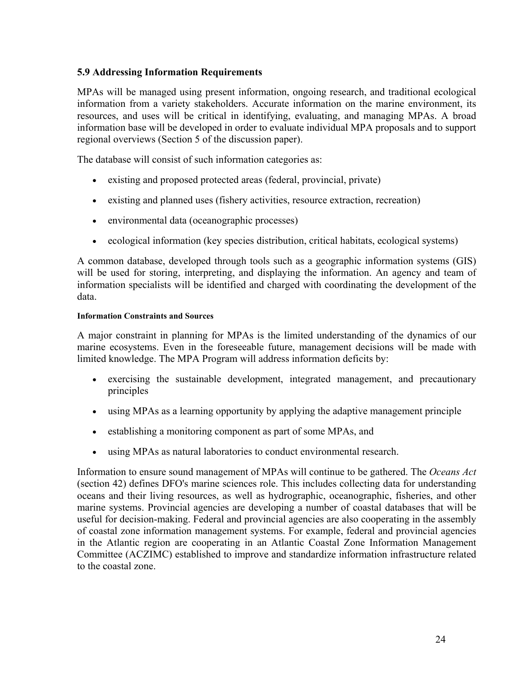## **5.9 Addressing Information Requirements**

MPAs will be managed using present information, ongoing research, and traditional ecological information from a variety stakeholders. Accurate information on the marine environment, its resources, and uses will be critical in identifying, evaluating, and managing MPAs. A broad information base will be developed in order to evaluate individual MPA proposals and to support regional overviews (Section 5 of the discussion paper).

The database will consist of such information categories as:

- existing and proposed protected areas (federal, provincial, private)
- existing and planned uses (fishery activities, resource extraction, recreation)
- environmental data (oceanographic processes)
- ecological information (key species distribution, critical habitats, ecological systems)

A common database, developed through tools such as a geographic information systems (GIS) will be used for storing, interpreting, and displaying the information. An agency and team of information specialists will be identified and charged with coordinating the development of the data.

#### **Information Constraints and Sources**

A major constraint in planning for MPAs is the limited understanding of the dynamics of our marine ecosystems. Even in the foreseeable future, management decisions will be made with limited knowledge. The MPA Program will address information deficits by:

- exercising the sustainable development, integrated management, and precautionary principles
- using MPAs as a learning opportunity by applying the adaptive management principle
- establishing a monitoring component as part of some MPAs, and
- using MPAs as natural laboratories to conduct environmental research.

Information to ensure sound management of MPAs will continue to be gathered. The *Oceans Act* (section 42) defines DFO's marine sciences role. This includes collecting data for understanding oceans and their living resources, as well as hydrographic, oceanographic, fisheries, and other marine systems. Provincial agencies are developing a number of coastal databases that will be useful for decision-making. Federal and provincial agencies are also cooperating in the assembly of coastal zone information management systems. For example, federal and provincial agencies in the Atlantic region are cooperating in an Atlantic Coastal Zone Information Management Committee (ACZIMC) established to improve and standardize information infrastructure related to the coastal zone.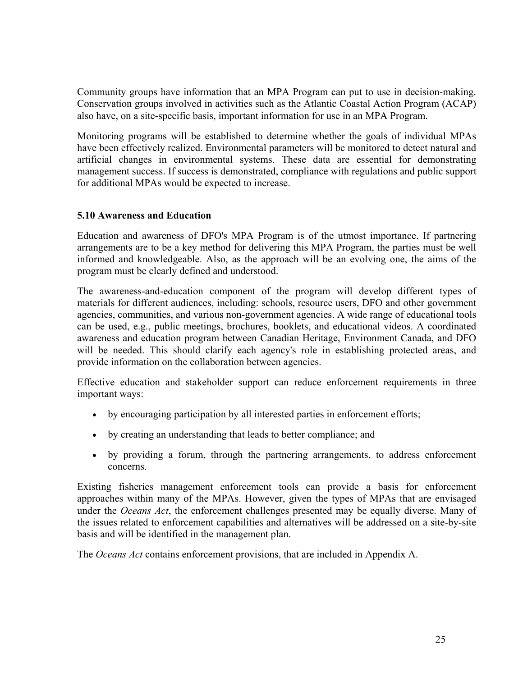Community groups have information that an MPA Program can put to use in decision-making. Conservation groups involved in activities such as the Atlantic Coastal Action Program (ACAP) also have, on a site-specific basis, important information for use in an MPA Program.

Monitoring programs will be established to determine whether the goals of individual MPAs have been effectively realized. Environmental parameters will be monitored to detect natural and artificial changes in environmental systems. These data are essential for demonstrating management success. If success is demonstrated, compliance with regulations and public support for additional MPAs would be expected to increase.

## **5.10 Awareness and Education**

Education and awareness of DFO's MPA Program is of the utmost importance. If partnering arrangements are to be a key method for delivering this MPA Program, the parties must be well informed and knowledgeable. Also, as the approach will be an evolving one, the aims of the program must be clearly defined and understood.

The awareness-and-education component of the program will develop different types of materials for different audiences, including: schools, resource users, DFO and other government agencies, communities, and various non-government agencies. A wide range of educational tools can be used, e.g., public meetings, brochures, booklets, and educational videos. A coordinated awareness and education program between Canadian Heritage, Environment Canada, and DFO will be needed. This should clarify each agency's role in establishing protected areas, and provide information on the collaboration between agencies.

Effective education and stakeholder support can reduce enforcement requirements in three important ways:

- by encouraging participation by all interested parties in enforcement efforts;
- by creating an understanding that leads to better compliance; and
- by providing a forum, through the partnering arrangements, to address enforcement concerns.

Existing fisheries management enforcement tools can provide a basis for enforcement approaches within many of the MPAs. However, given the types of MPAs that are envisaged under the *Oceans Act*, the enforcement challenges presented may be equally diverse. Many of the issues related to enforcement capabilities and alternatives will be addressed on a site-by-site basis and will be identified in the management plan.

The *Oceans Act* contains enforcement provisions, that are included in Appendix A.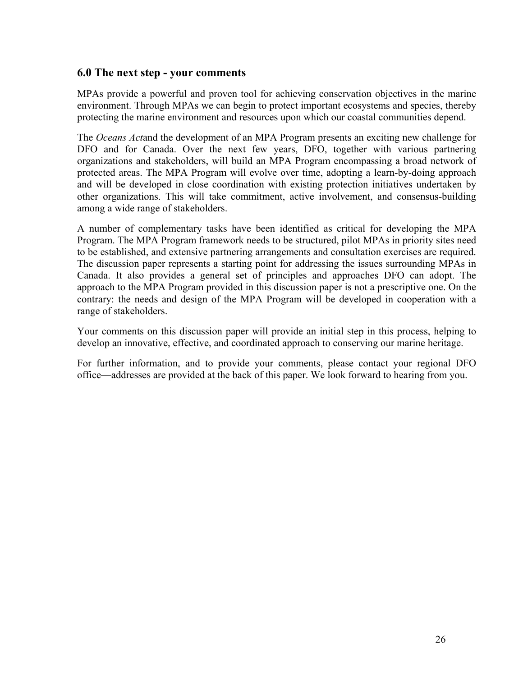## **6.0 The next step - your comments**

MPAs provide a powerful and proven tool for achieving conservation objectives in the marine environment. Through MPAs we can begin to protect important ecosystems and species, thereby protecting the marine environment and resources upon which our coastal communities depend.

The *Oceans Act*and the development of an MPA Program presents an exciting new challenge for DFO and for Canada. Over the next few years, DFO, together with various partnering organizations and stakeholders, will build an MPA Program encompassing a broad network of protected areas. The MPA Program will evolve over time, adopting a learn-by-doing approach and will be developed in close coordination with existing protection initiatives undertaken by other organizations. This will take commitment, active involvement, and consensus-building among a wide range of stakeholders.

A number of complementary tasks have been identified as critical for developing the MPA Program. The MPA Program framework needs to be structured, pilot MPAs in priority sites need to be established, and extensive partnering arrangements and consultation exercises are required. The discussion paper represents a starting point for addressing the issues surrounding MPAs in Canada. It also provides a general set of principles and approaches DFO can adopt. The approach to the MPA Program provided in this discussion paper is not a prescriptive one. On the contrary: the needs and design of the MPA Program will be developed in cooperation with a range of stakeholders.

Your comments on this discussion paper will provide an initial step in this process, helping to develop an innovative, effective, and coordinated approach to conserving our marine heritage.

For further information, and to provide your comments, please contact your regional DFO office—addresses are provided at the back of this paper. We look forward to hearing from you.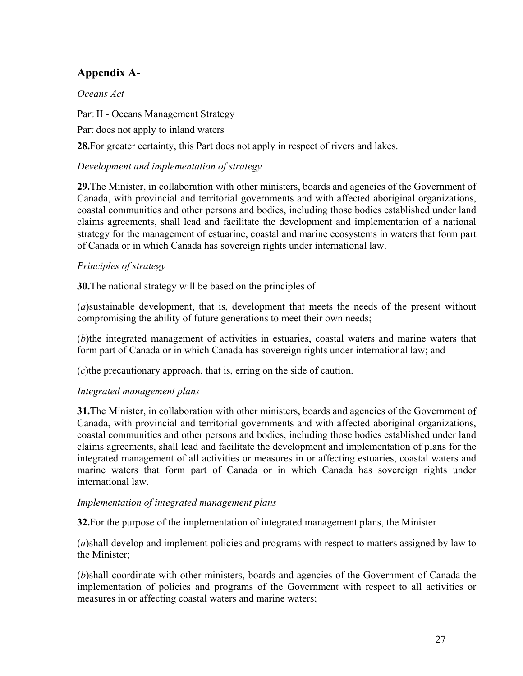## **Appendix A-**

*Oceans Act*

Part II - Oceans Management Strategy Part does not apply to inland waters **28.**For greater certainty, this Part does not apply in respect of rivers and lakes.

## *Development and implementation of strategy*

**29.**The Minister, in collaboration with other ministers, boards and agencies of the Government of Canada, with provincial and territorial governments and with affected aboriginal organizations, coastal communities and other persons and bodies, including those bodies established under land claims agreements, shall lead and facilitate the development and implementation of a national strategy for the management of estuarine, coastal and marine ecosystems in waters that form part of Canada or in which Canada has sovereign rights under international law.

## *Principles of strategy*

**30.**The national strategy will be based on the principles of

(*a*)sustainable development, that is, development that meets the needs of the present without compromising the ability of future generations to meet their own needs;

(*b*)the integrated management of activities in estuaries, coastal waters and marine waters that form part of Canada or in which Canada has sovereign rights under international law; and

(*c*)the precautionary approach, that is, erring on the side of caution.

## *Integrated management plans*

**31.**The Minister, in collaboration with other ministers, boards and agencies of the Government of Canada, with provincial and territorial governments and with affected aboriginal organizations, coastal communities and other persons and bodies, including those bodies established under land claims agreements, shall lead and facilitate the development and implementation of plans for the integrated management of all activities or measures in or affecting estuaries, coastal waters and marine waters that form part of Canada or in which Canada has sovereign rights under international law.

## *Implementation of integrated management plans*

**32.**For the purpose of the implementation of integrated management plans, the Minister

(*a*)shall develop and implement policies and programs with respect to matters assigned by law to the Minister;

(*b*)shall coordinate with other ministers, boards and agencies of the Government of Canada the implementation of policies and programs of the Government with respect to all activities or measures in or affecting coastal waters and marine waters;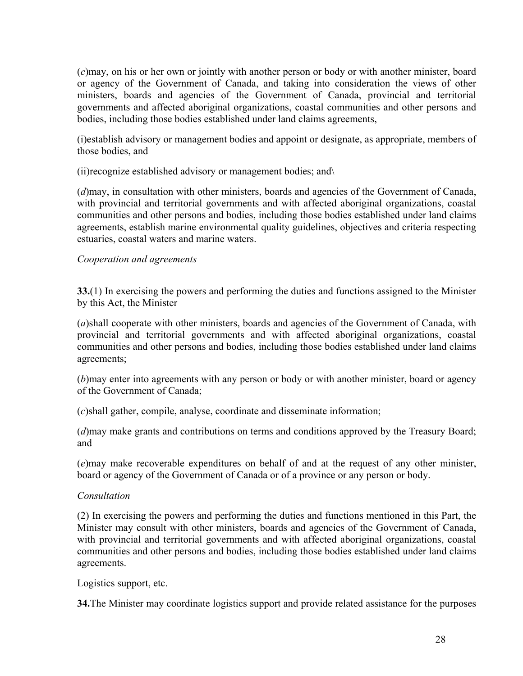(*c*)may, on his or her own or jointly with another person or body or with another minister, board or agency of the Government of Canada, and taking into consideration the views of other ministers, boards and agencies of the Government of Canada, provincial and territorial governments and affected aboriginal organizations, coastal communities and other persons and bodies, including those bodies established under land claims agreements,

(i)establish advisory or management bodies and appoint or designate, as appropriate, members of those bodies, and

(ii)recognize established advisory or management bodies; and\

(*d*)may, in consultation with other ministers, boards and agencies of the Government of Canada, with provincial and territorial governments and with affected aboriginal organizations, coastal communities and other persons and bodies, including those bodies established under land claims agreements, establish marine environmental quality guidelines, objectives and criteria respecting estuaries, coastal waters and marine waters.

## *Cooperation and agreements*

**33.**(1) In exercising the powers and performing the duties and functions assigned to the Minister by this Act, the Minister

(*a*)shall cooperate with other ministers, boards and agencies of the Government of Canada, with provincial and territorial governments and with affected aboriginal organizations, coastal communities and other persons and bodies, including those bodies established under land claims agreements;

(*b*)may enter into agreements with any person or body or with another minister, board or agency of the Government of Canada;

(*c*)shall gather, compile, analyse, coordinate and disseminate information;

(*d*)may make grants and contributions on terms and conditions approved by the Treasury Board; and

(*e*)may make recoverable expenditures on behalf of and at the request of any other minister, board or agency of the Government of Canada or of a province or any person or body.

## *Consultation*

(2) In exercising the powers and performing the duties and functions mentioned in this Part, the Minister may consult with other ministers, boards and agencies of the Government of Canada, with provincial and territorial governments and with affected aboriginal organizations, coastal communities and other persons and bodies, including those bodies established under land claims agreements.

Logistics support, etc.

**34.**The Minister may coordinate logistics support and provide related assistance for the purposes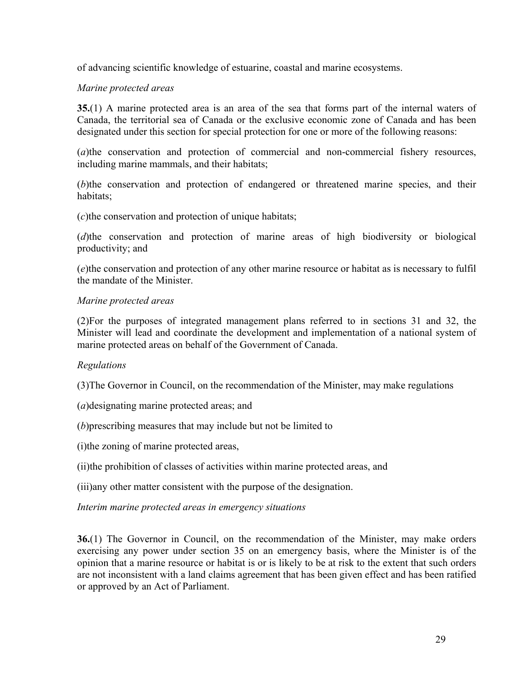of advancing scientific knowledge of estuarine, coastal and marine ecosystems.

## *Marine protected areas*

**35.**(1) A marine protected area is an area of the sea that forms part of the internal waters of Canada, the territorial sea of Canada or the exclusive economic zone of Canada and has been designated under this section for special protection for one or more of the following reasons:

(*a*)the conservation and protection of commercial and non-commercial fishery resources, including marine mammals, and their habitats;

(*b*)the conservation and protection of endangered or threatened marine species, and their habitats;

(*c*)the conservation and protection of unique habitats;

(*d*)the conservation and protection of marine areas of high biodiversity or biological productivity; and

(*e*)the conservation and protection of any other marine resource or habitat as is necessary to fulfil the mandate of the Minister.

## *Marine protected areas*

(2)For the purposes of integrated management plans referred to in sections 31 and 32, the Minister will lead and coordinate the development and implementation of a national system of marine protected areas on behalf of the Government of Canada.

## *Regulations*

(3)The Governor in Council, on the recommendation of the Minister, may make regulations

(*a*)designating marine protected areas; and

(*b*)prescribing measures that may include but not be limited to

(i)the zoning of marine protected areas,

(ii)the prohibition of classes of activities within marine protected areas, and

(iii)any other matter consistent with the purpose of the designation.

*Interim marine protected areas in emergency situations*

**36.**(1) The Governor in Council, on the recommendation of the Minister, may make orders exercising any power under section 35 on an emergency basis, where the Minister is of the opinion that a marine resource or habitat is or is likely to be at risk to the extent that such orders are not inconsistent with a land claims agreement that has been given effect and has been ratified or approved by an Act of Parliament.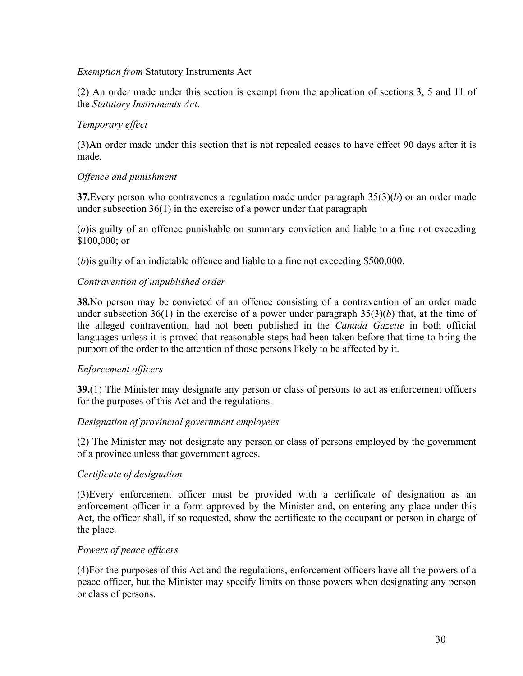### *Exemption from* Statutory Instruments Act

(2) An order made under this section is exempt from the application of sections 3, 5 and 11 of the *Statutory Instruments Act*.

## *Temporary effect*

(3)An order made under this section that is not repealed ceases to have effect 90 days after it is made.

## *Offence and punishment*

**37.**Every person who contravenes a regulation made under paragraph 35(3)(*b*) or an order made under subsection 36(1) in the exercise of a power under that paragraph

(*a*)is guilty of an offence punishable on summary conviction and liable to a fine not exceeding \$100,000; or

(*b*)is guilty of an indictable offence and liable to a fine not exceeding \$500,000.

## *Contravention of unpublished order*

**38.**No person may be convicted of an offence consisting of a contravention of an order made under subsection 36(1) in the exercise of a power under paragraph 35(3)(*b*) that, at the time of the alleged contravention, had not been published in the *Canada Gazette* in both official languages unless it is proved that reasonable steps had been taken before that time to bring the purport of the order to the attention of those persons likely to be affected by it.

#### *Enforcement officers*

**39.**(1) The Minister may designate any person or class of persons to act as enforcement officers for the purposes of this Act and the regulations.

#### *Designation of provincial government employees*

(2) The Minister may not designate any person or class of persons employed by the government of a province unless that government agrees.

#### *Certificate of designation*

(3)Every enforcement officer must be provided with a certificate of designation as an enforcement officer in a form approved by the Minister and, on entering any place under this Act, the officer shall, if so requested, show the certificate to the occupant or person in charge of the place.

#### *Powers of peace officers*

(4)For the purposes of this Act and the regulations, enforcement officers have all the powers of a peace officer, but the Minister may specify limits on those powers when designating any person or class of persons.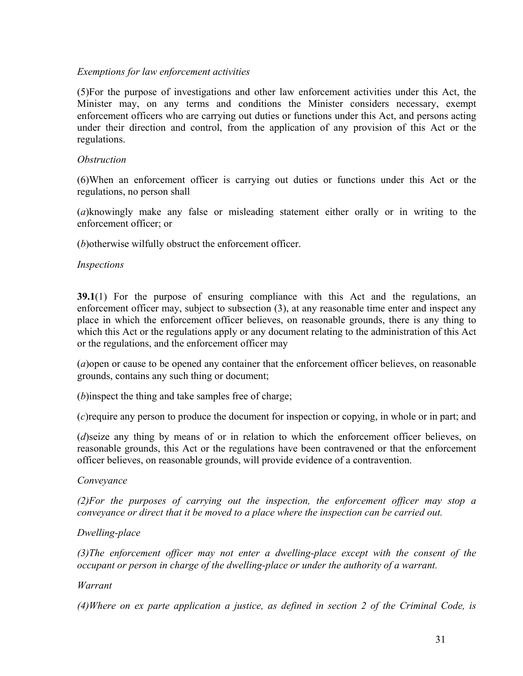## *Exemptions for law enforcement activities*

(5)For the purpose of investigations and other law enforcement activities under this Act, the Minister may, on any terms and conditions the Minister considers necessary, exempt enforcement officers who are carrying out duties or functions under this Act, and persons acting under their direction and control, from the application of any provision of this Act or the regulations.

#### *Obstruction*

(6)When an enforcement officer is carrying out duties or functions under this Act or the regulations, no person shall

(*a*)knowingly make any false or misleading statement either orally or in writing to the enforcement officer; or

(*b*)otherwise wilfully obstruct the enforcement officer.

## *Inspections*

**39.1**(1) For the purpose of ensuring compliance with this Act and the regulations, an enforcement officer may, subject to subsection (3), at any reasonable time enter and inspect any place in which the enforcement officer believes, on reasonable grounds, there is any thing to which this Act or the regulations apply or any document relating to the administration of this Act or the regulations, and the enforcement officer may

(*a*)open or cause to be opened any container that the enforcement officer believes, on reasonable grounds, contains any such thing or document;

(*b*)inspect the thing and take samples free of charge;

(*c*)require any person to produce the document for inspection or copying, in whole or in part; and

(*d*)seize any thing by means of or in relation to which the enforcement officer believes, on reasonable grounds, this Act or the regulations have been contravened or that the enforcement officer believes, on reasonable grounds, will provide evidence of a contravention.

#### *Conveyance*

*(2)For the purposes of carrying out the inspection, the enforcement officer may stop a conveyance or direct that it be moved to a place where the inspection can be carried out.*

## *Dwelling-place*

*(3)The enforcement officer may not enter a dwelling-place except with the consent of the occupant or person in charge of the dwelling-place or under the authority of a warrant.*

#### *Warrant*

*(4)Where on ex parte application a justice, as defined in section 2 of the Criminal Code, is*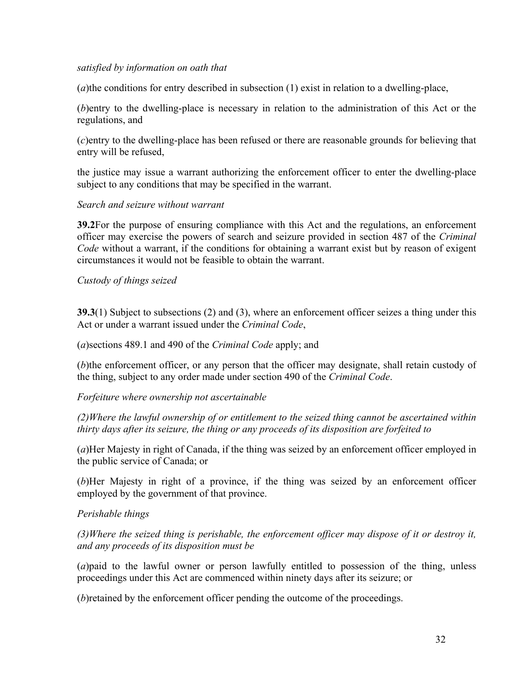### *satisfied by information on oath that*

(*a*)the conditions for entry described in subsection (1) exist in relation to a dwelling-place,

(*b*)entry to the dwelling-place is necessary in relation to the administration of this Act or the regulations, and

(*c*)entry to the dwelling-place has been refused or there are reasonable grounds for believing that entry will be refused,

the justice may issue a warrant authorizing the enforcement officer to enter the dwelling-place subject to any conditions that may be specified in the warrant.

## *Search and seizure without warrant*

**39.2**For the purpose of ensuring compliance with this Act and the regulations, an enforcement officer may exercise the powers of search and seizure provided in section 487 of the *Criminal Code* without a warrant, if the conditions for obtaining a warrant exist but by reason of exigent circumstances it would not be feasible to obtain the warrant.

## *Custody of things seized*

**39.3**(1) Subject to subsections (2) and (3), where an enforcement officer seizes a thing under this Act or under a warrant issued under the *Criminal Code*,

(*a*)sections 489.1 and 490 of the *Criminal Code* apply; and

(*b*)the enforcement officer, or any person that the officer may designate, shall retain custody of the thing, subject to any order made under section 490 of the *Criminal Code*.

## *Forfeiture where ownership not ascertainable*

*(2)Where the lawful ownership of or entitlement to the seized thing cannot be ascertained within thirty days after its seizure, the thing or any proceeds of its disposition are forfeited to*

(*a*)Her Majesty in right of Canada, if the thing was seized by an enforcement officer employed in the public service of Canada; or

(*b*)Her Majesty in right of a province, if the thing was seized by an enforcement officer employed by the government of that province.

## *Perishable things*

*(3)Where the seized thing is perishable, the enforcement officer may dispose of it or destroy it, and any proceeds of its disposition must be*

(*a*)paid to the lawful owner or person lawfully entitled to possession of the thing, unless proceedings under this Act are commenced within ninety days after its seizure; or

(*b*)retained by the enforcement officer pending the outcome of the proceedings.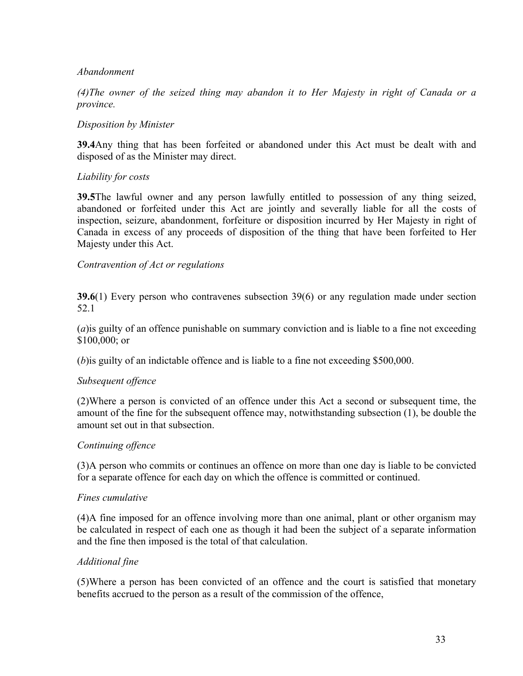## *Abandonment*

*(4)The owner of the seized thing may abandon it to Her Majesty in right of Canada or a province.*

## *Disposition by Minister*

**39.4**Any thing that has been forfeited or abandoned under this Act must be dealt with and disposed of as the Minister may direct.

## *Liability for costs*

**39.5**The lawful owner and any person lawfully entitled to possession of any thing seized, abandoned or forfeited under this Act are jointly and severally liable for all the costs of inspection, seizure, abandonment, forfeiture or disposition incurred by Her Majesty in right of Canada in excess of any proceeds of disposition of the thing that have been forfeited to Her Majesty under this Act.

#### *Contravention of Act or regulations*

**39.6**(1) Every person who contravenes subsection 39(6) or any regulation made under section 52.1

(*a*)is guilty of an offence punishable on summary conviction and is liable to a fine not exceeding \$100,000; or

(*b*)is guilty of an indictable offence and is liable to a fine not exceeding \$500,000.

#### *Subsequent offence*

(2)Where a person is convicted of an offence under this Act a second or subsequent time, the amount of the fine for the subsequent offence may, notwithstanding subsection (1), be double the amount set out in that subsection.

#### *Continuing offence*

(3)A person who commits or continues an offence on more than one day is liable to be convicted for a separate offence for each day on which the offence is committed or continued.

#### *Fines cumulative*

(4)A fine imposed for an offence involving more than one animal, plant or other organism may be calculated in respect of each one as though it had been the subject of a separate information and the fine then imposed is the total of that calculation.

#### *Additional fine*

(5)Where a person has been convicted of an offence and the court is satisfied that monetary benefits accrued to the person as a result of the commission of the offence,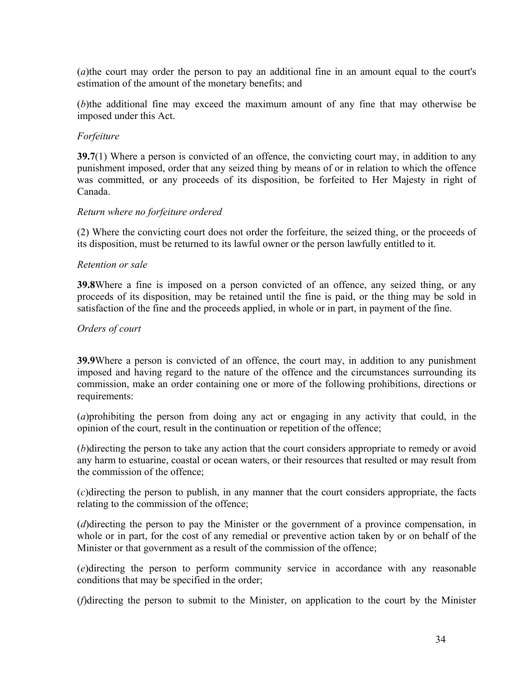(*a*)the court may order the person to pay an additional fine in an amount equal to the court's estimation of the amount of the monetary benefits; and

(*b*)the additional fine may exceed the maximum amount of any fine that may otherwise be imposed under this Act.

## *Forfeiture*

**39.7**(1) Where a person is convicted of an offence, the convicting court may, in addition to any punishment imposed, order that any seized thing by means of or in relation to which the offence was committed, or any proceeds of its disposition, be forfeited to Her Majesty in right of Canada.

## *Return where no forfeiture ordered*

(2) Where the convicting court does not order the forfeiture, the seized thing, or the proceeds of its disposition, must be returned to its lawful owner or the person lawfully entitled to it.

#### *Retention or sale*

**39.8**Where a fine is imposed on a person convicted of an offence, any seized thing, or any proceeds of its disposition, may be retained until the fine is paid, or the thing may be sold in satisfaction of the fine and the proceeds applied, in whole or in part, in payment of the fine.

#### *Orders of court*

**39.9**Where a person is convicted of an offence, the court may, in addition to any punishment imposed and having regard to the nature of the offence and the circumstances surrounding its commission, make an order containing one or more of the following prohibitions, directions or requirements:

(*a*)prohibiting the person from doing any act or engaging in any activity that could, in the opinion of the court, result in the continuation or repetition of the offence;

(*b*)directing the person to take any action that the court considers appropriate to remedy or avoid any harm to estuarine, coastal or ocean waters, or their resources that resulted or may result from the commission of the offence;

(*c*)directing the person to publish, in any manner that the court considers appropriate, the facts relating to the commission of the offence;

(*d*)directing the person to pay the Minister or the government of a province compensation, in whole or in part, for the cost of any remedial or preventive action taken by or on behalf of the Minister or that government as a result of the commission of the offence;

(*e*)directing the person to perform community service in accordance with any reasonable conditions that may be specified in the order;

(*f*)directing the person to submit to the Minister, on application to the court by the Minister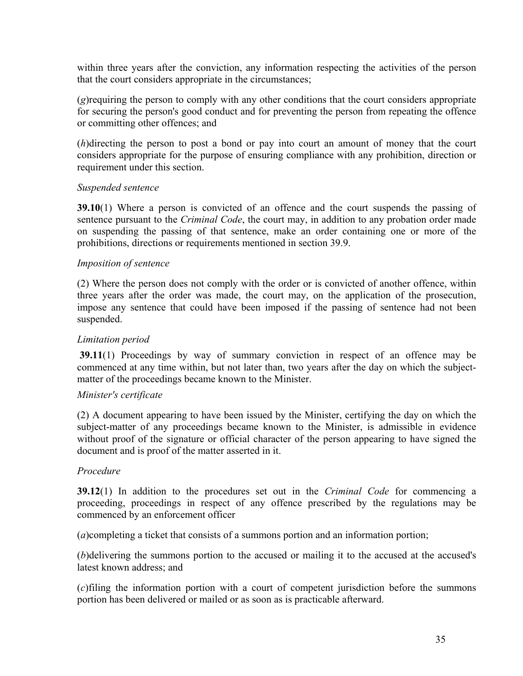within three years after the conviction, any information respecting the activities of the person that the court considers appropriate in the circumstances;

(*g*)requiring the person to comply with any other conditions that the court considers appropriate for securing the person's good conduct and for preventing the person from repeating the offence or committing other offences; and

(*h*)directing the person to post a bond or pay into court an amount of money that the court considers appropriate for the purpose of ensuring compliance with any prohibition, direction or requirement under this section.

#### *Suspended sentence*

**39.10**(1) Where a person is convicted of an offence and the court suspends the passing of sentence pursuant to the *Criminal Code*, the court may, in addition to any probation order made on suspending the passing of that sentence, make an order containing one or more of the prohibitions, directions or requirements mentioned in section 39.9.

#### *Imposition of sentence*

(2) Where the person does not comply with the order or is convicted of another offence, within three years after the order was made, the court may, on the application of the prosecution, impose any sentence that could have been imposed if the passing of sentence had not been suspended.

#### *Limitation period*

**39.11**(1) Proceedings by way of summary conviction in respect of an offence may be commenced at any time within, but not later than, two years after the day on which the subjectmatter of the proceedings became known to the Minister.

#### *Minister's certificate*

(2) A document appearing to have been issued by the Minister, certifying the day on which the subject-matter of any proceedings became known to the Minister, is admissible in evidence without proof of the signature or official character of the person appearing to have signed the document and is proof of the matter asserted in it.

#### *Procedure*

**39.12**(1) In addition to the procedures set out in the *Criminal Code* for commencing a proceeding, proceedings in respect of any offence prescribed by the regulations may be commenced by an enforcement officer

(*a*)completing a ticket that consists of a summons portion and an information portion;

(*b*)delivering the summons portion to the accused or mailing it to the accused at the accused's latest known address; and

(*c*)filing the information portion with a court of competent jurisdiction before the summons portion has been delivered or mailed or as soon as is practicable afterward.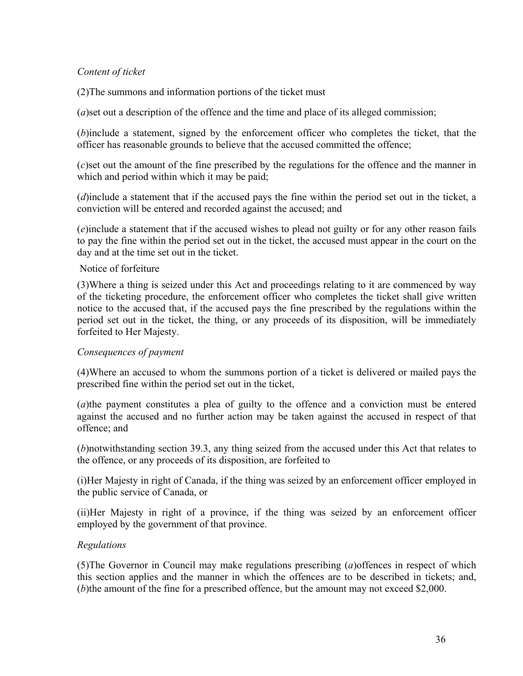## *Content of ticket*

(2)The summons and information portions of the ticket must

(*a*)set out a description of the offence and the time and place of its alleged commission;

(*b*)include a statement, signed by the enforcement officer who completes the ticket, that the officer has reasonable grounds to believe that the accused committed the offence;

(*c*)set out the amount of the fine prescribed by the regulations for the offence and the manner in which and period within which it may be paid;

(*d*)include a statement that if the accused pays the fine within the period set out in the ticket, a conviction will be entered and recorded against the accused; and

(*e*)include a statement that if the accused wishes to plead not guilty or for any other reason fails to pay the fine within the period set out in the ticket, the accused must appear in the court on the day and at the time set out in the ticket.

#### Notice of forfeiture

(3)Where a thing is seized under this Act and proceedings relating to it are commenced by way of the ticketing procedure, the enforcement officer who completes the ticket shall give written notice to the accused that, if the accused pays the fine prescribed by the regulations within the period set out in the ticket, the thing, or any proceeds of its disposition, will be immediately forfeited to Her Majesty.

#### *Consequences of payment*

(4)Where an accused to whom the summons portion of a ticket is delivered or mailed pays the prescribed fine within the period set out in the ticket,

(*a*)the payment constitutes a plea of guilty to the offence and a conviction must be entered against the accused and no further action may be taken against the accused in respect of that offence; and

(*b*)notwithstanding section 39.3, any thing seized from the accused under this Act that relates to the offence, or any proceeds of its disposition, are forfeited to

(i)Her Majesty in right of Canada, if the thing was seized by an enforcement officer employed in the public service of Canada, or

(ii)Her Majesty in right of a province, if the thing was seized by an enforcement officer employed by the government of that province.

## *Regulations*

(5)The Governor in Council may make regulations prescribing (*a*)offences in respect of which this section applies and the manner in which the offences are to be described in tickets; and, (*b*)the amount of the fine for a prescribed offence, but the amount may not exceed \$2,000.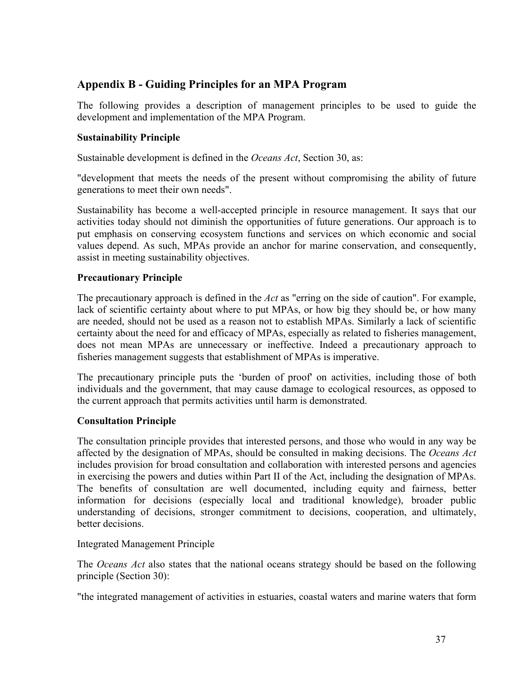## **Appendix B - Guiding Principles for an MPA Program**

The following provides a description of management principles to be used to guide the development and implementation of the MPA Program.

## **Sustainability Principle**

Sustainable development is defined in the *Oceans Act*, Section 30, as:

"development that meets the needs of the present without compromising the ability of future generations to meet their own needs".

Sustainability has become a well-accepted principle in resource management. It says that our activities today should not diminish the opportunities of future generations. Our approach is to put emphasis on conserving ecosystem functions and services on which economic and social values depend. As such, MPAs provide an anchor for marine conservation, and consequently, assist in meeting sustainability objectives.

## **Precautionary Principle**

The precautionary approach is defined in the *Act* as "erring on the side of caution". For example, lack of scientific certainty about where to put MPAs, or how big they should be, or how many are needed, should not be used as a reason not to establish MPAs. Similarly a lack of scientific certainty about the need for and efficacy of MPAs, especially as related to fisheries management, does not mean MPAs are unnecessary or ineffective. Indeed a precautionary approach to fisheries management suggests that establishment of MPAs is imperative.

The precautionary principle puts the 'burden of proof' on activities, including those of both individuals and the government, that may cause damage to ecological resources, as opposed to the current approach that permits activities until harm is demonstrated.

#### **Consultation Principle**

The consultation principle provides that interested persons, and those who would in any way be affected by the designation of MPAs, should be consulted in making decisions. The *Oceans Act* includes provision for broad consultation and collaboration with interested persons and agencies in exercising the powers and duties within Part II of the Act, including the designation of MPAs. The benefits of consultation are well documented, including equity and fairness, better information for decisions (especially local and traditional knowledge), broader public understanding of decisions, stronger commitment to decisions, cooperation, and ultimately, better decisions.

Integrated Management Principle

The *Oceans Act* also states that the national oceans strategy should be based on the following principle (Section 30):

"the integrated management of activities in estuaries, coastal waters and marine waters that form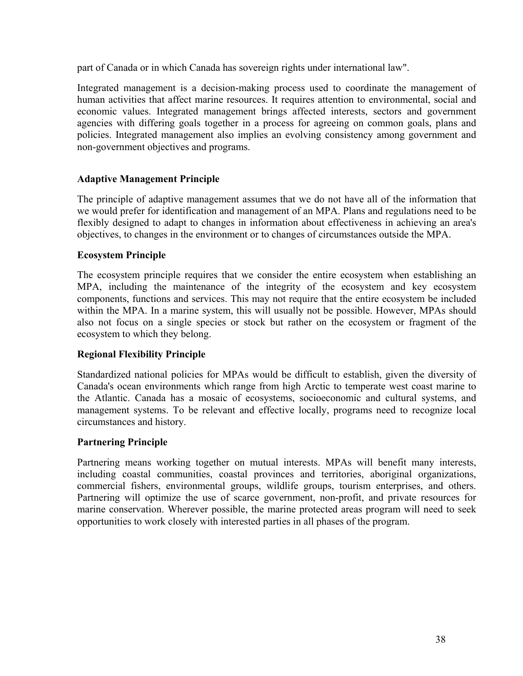part of Canada or in which Canada has sovereign rights under international law".

Integrated management is a decision-making process used to coordinate the management of human activities that affect marine resources. It requires attention to environmental, social and economic values. Integrated management brings affected interests, sectors and government agencies with differing goals together in a process for agreeing on common goals, plans and policies. Integrated management also implies an evolving consistency among government and non-government objectives and programs.

## **Adaptive Management Principle**

The principle of adaptive management assumes that we do not have all of the information that we would prefer for identification and management of an MPA. Plans and regulations need to be flexibly designed to adapt to changes in information about effectiveness in achieving an area's objectives, to changes in the environment or to changes of circumstances outside the MPA.

## **Ecosystem Principle**

The ecosystem principle requires that we consider the entire ecosystem when establishing an MPA, including the maintenance of the integrity of the ecosystem and key ecosystem components, functions and services. This may not require that the entire ecosystem be included within the MPA. In a marine system, this will usually not be possible. However, MPAs should also not focus on a single species or stock but rather on the ecosystem or fragment of the ecosystem to which they belong.

## **Regional Flexibility Principle**

Standardized national policies for MPAs would be difficult to establish, given the diversity of Canada's ocean environments which range from high Arctic to temperate west coast marine to the Atlantic. Canada has a mosaic of ecosystems, socioeconomic and cultural systems, and management systems. To be relevant and effective locally, programs need to recognize local circumstances and history.

## **Partnering Principle**

Partnering means working together on mutual interests. MPAs will benefit many interests, including coastal communities, coastal provinces and territories, aboriginal organizations, commercial fishers, environmental groups, wildlife groups, tourism enterprises, and others. Partnering will optimize the use of scarce government, non-profit, and private resources for marine conservation. Wherever possible, the marine protected areas program will need to seek opportunities to work closely with interested parties in all phases of the program.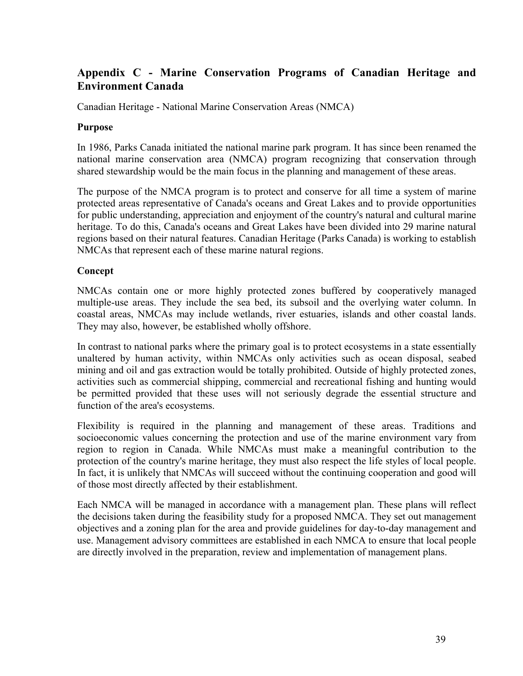## **Appendix C - Marine Conservation Programs of Canadian Heritage and Environment Canada**

Canadian Heritage - National Marine Conservation Areas (NMCA)

## **Purpose**

In 1986, Parks Canada initiated the national marine park program. It has since been renamed the national marine conservation area (NMCA) program recognizing that conservation through shared stewardship would be the main focus in the planning and management of these areas.

The purpose of the NMCA program is to protect and conserve for all time a system of marine protected areas representative of Canada's oceans and Great Lakes and to provide opportunities for public understanding, appreciation and enjoyment of the country's natural and cultural marine heritage. To do this, Canada's oceans and Great Lakes have been divided into 29 marine natural regions based on their natural features. Canadian Heritage (Parks Canada) is working to establish NMCAs that represent each of these marine natural regions.

## **Concept**

NMCAs contain one or more highly protected zones buffered by cooperatively managed multiple-use areas. They include the sea bed, its subsoil and the overlying water column. In coastal areas, NMCAs may include wetlands, river estuaries, islands and other coastal lands. They may also, however, be established wholly offshore.

In contrast to national parks where the primary goal is to protect ecosystems in a state essentially unaltered by human activity, within NMCAs only activities such as ocean disposal, seabed mining and oil and gas extraction would be totally prohibited. Outside of highly protected zones, activities such as commercial shipping, commercial and recreational fishing and hunting would be permitted provided that these uses will not seriously degrade the essential structure and function of the area's ecosystems.

Flexibility is required in the planning and management of these areas. Traditions and socioeconomic values concerning the protection and use of the marine environment vary from region to region in Canada. While NMCAs must make a meaningful contribution to the protection of the country's marine heritage, they must also respect the life styles of local people. In fact, it is unlikely that NMCAs will succeed without the continuing cooperation and good will of those most directly affected by their establishment.

Each NMCA will be managed in accordance with a management plan. These plans will reflect the decisions taken during the feasibility study for a proposed NMCA. They set out management objectives and a zoning plan for the area and provide guidelines for day-to-day management and use. Management advisory committees are established in each NMCA to ensure that local people are directly involved in the preparation, review and implementation of management plans.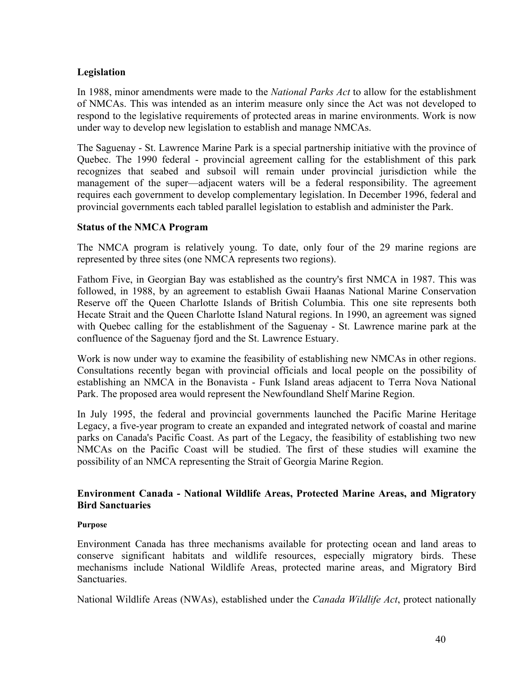## **Legislation**

In 1988, minor amendments were made to the *National Parks Act* to allow for the establishment of NMCAs. This was intended as an interim measure only since the Act was not developed to respond to the legislative requirements of protected areas in marine environments. Work is now under way to develop new legislation to establish and manage NMCAs.

The Saguenay - St. Lawrence Marine Park is a special partnership initiative with the province of Quebec. The 1990 federal - provincial agreement calling for the establishment of this park recognizes that seabed and subsoil will remain under provincial jurisdiction while the management of the super—adjacent waters will be a federal responsibility. The agreement requires each government to develop complementary legislation. In December 1996, federal and provincial governments each tabled parallel legislation to establish and administer the Park.

## **Status of the NMCA Program**

The NMCA program is relatively young. To date, only four of the 29 marine regions are represented by three sites (one NMCA represents two regions).

Fathom Five, in Georgian Bay was established as the country's first NMCA in 1987. This was followed, in 1988, by an agreement to establish Gwaii Haanas National Marine Conservation Reserve off the Queen Charlotte Islands of British Columbia. This one site represents both Hecate Strait and the Queen Charlotte Island Natural regions. In 1990, an agreement was signed with Quebec calling for the establishment of the Saguenay - St. Lawrence marine park at the confluence of the Saguenay fjord and the St. Lawrence Estuary.

Work is now under way to examine the feasibility of establishing new NMCAs in other regions. Consultations recently began with provincial officials and local people on the possibility of establishing an NMCA in the Bonavista - Funk Island areas adjacent to Terra Nova National Park. The proposed area would represent the Newfoundland Shelf Marine Region.

In July 1995, the federal and provincial governments launched the Pacific Marine Heritage Legacy, a five-year program to create an expanded and integrated network of coastal and marine parks on Canada's Pacific Coast. As part of the Legacy, the feasibility of establishing two new NMCAs on the Pacific Coast will be studied. The first of these studies will examine the possibility of an NMCA representing the Strait of Georgia Marine Region.

## **Environment Canada - National Wildlife Areas, Protected Marine Areas, and Migratory Bird Sanctuaries**

#### **Purpose**

Environment Canada has three mechanisms available for protecting ocean and land areas to conserve significant habitats and wildlife resources, especially migratory birds. These mechanisms include National Wildlife Areas, protected marine areas, and Migratory Bird **Sanctuaries** 

National Wildlife Areas (NWAs), established under the *Canada Wildlife Act*, protect nationally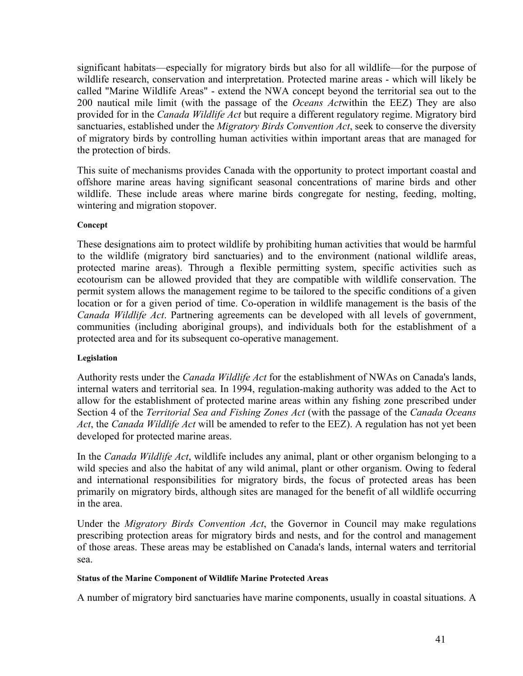significant habitats—especially for migratory birds but also for all wildlife—for the purpose of wildlife research, conservation and interpretation. Protected marine areas - which will likely be called "Marine Wildlife Areas" - extend the NWA concept beyond the territorial sea out to the 200 nautical mile limit (with the passage of the *Oceans Act*within the EEZ) They are also provided for in the *Canada Wildlife Act* but require a different regulatory regime. Migratory bird sanctuaries, established under the *Migratory Birds Convention Act*, seek to conserve the diversity of migratory birds by controlling human activities within important areas that are managed for the protection of birds.

This suite of mechanisms provides Canada with the opportunity to protect important coastal and offshore marine areas having significant seasonal concentrations of marine birds and other wildlife. These include areas where marine birds congregate for nesting, feeding, molting, wintering and migration stopover.

#### **Concept**

These designations aim to protect wildlife by prohibiting human activities that would be harmful to the wildlife (migratory bird sanctuaries) and to the environment (national wildlife areas, protected marine areas). Through a flexible permitting system, specific activities such as ecotourism can be allowed provided that they are compatible with wildlife conservation. The permit system allows the management regime to be tailored to the specific conditions of a given location or for a given period of time. Co-operation in wildlife management is the basis of the *Canada Wildlife Act*. Partnering agreements can be developed with all levels of government, communities (including aboriginal groups), and individuals both for the establishment of a protected area and for its subsequent co-operative management.

#### **Legislation**

Authority rests under the *Canada Wildlife Act* for the establishment of NWAs on Canada's lands, internal waters and territorial sea. In 1994, regulation-making authority was added to the Act to allow for the establishment of protected marine areas within any fishing zone prescribed under Section 4 of the *Territorial Sea and Fishing Zones Act* (with the passage of the *Canada Oceans Act*, the *Canada Wildlife Act* will be amended to refer to the EEZ). A regulation has not yet been developed for protected marine areas.

In the *Canada Wildlife Act*, wildlife includes any animal, plant or other organism belonging to a wild species and also the habitat of any wild animal, plant or other organism. Owing to federal and international responsibilities for migratory birds, the focus of protected areas has been primarily on migratory birds, although sites are managed for the benefit of all wildlife occurring in the area.

Under the *Migratory Birds Convention Act*, the Governor in Council may make regulations prescribing protection areas for migratory birds and nests, and for the control and management of those areas. These areas may be established on Canada's lands, internal waters and territorial sea.

#### **Status of the Marine Component of Wildlife Marine Protected Areas**

A number of migratory bird sanctuaries have marine components, usually in coastal situations. A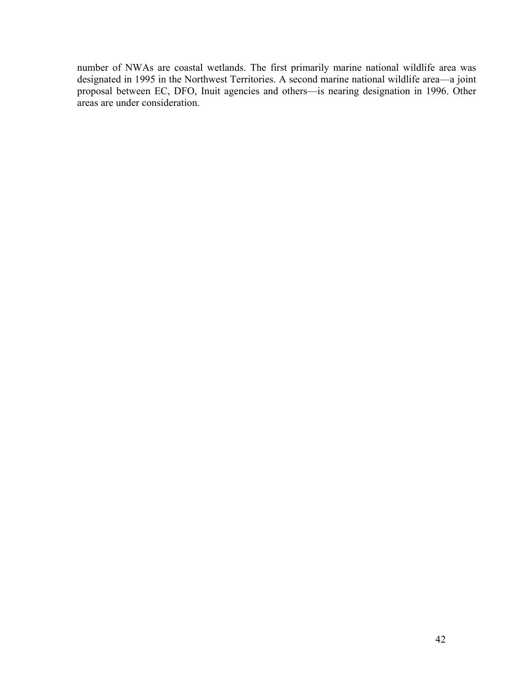number of NWAs are coastal wetlands. The first primarily marine national wildlife area was designated in 1995 in the Northwest Territories. A second marine national wildlife area—a joint proposal between EC, DFO, Inuit agencies and others—is nearing designation in 1996. Other areas are under consideration.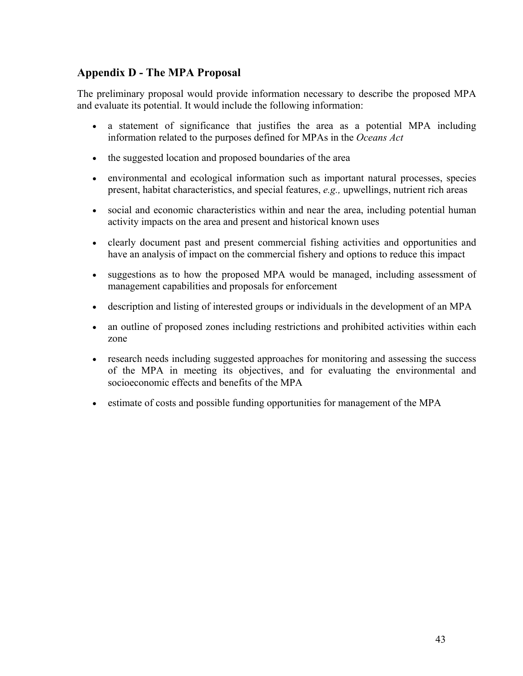## **Appendix D - The MPA Proposal**

The preliminary proposal would provide information necessary to describe the proposed MPA and evaluate its potential. It would include the following information:

- a statement of significance that justifies the area as a potential MPA including information related to the purposes defined for MPAs in the *Oceans Act*
- the suggested location and proposed boundaries of the area
- environmental and ecological information such as important natural processes, species present, habitat characteristics, and special features, *e.g.,* upwellings, nutrient rich areas
- social and economic characteristics within and near the area, including potential human activity impacts on the area and present and historical known uses
- clearly document past and present commercial fishing activities and opportunities and have an analysis of impact on the commercial fishery and options to reduce this impact
- suggestions as to how the proposed MPA would be managed, including assessment of management capabilities and proposals for enforcement
- description and listing of interested groups or individuals in the development of an MPA
- an outline of proposed zones including restrictions and prohibited activities within each zone
- research needs including suggested approaches for monitoring and assessing the success of the MPA in meeting its objectives, and for evaluating the environmental and socioeconomic effects and benefits of the MPA
- estimate of costs and possible funding opportunities for management of the MPA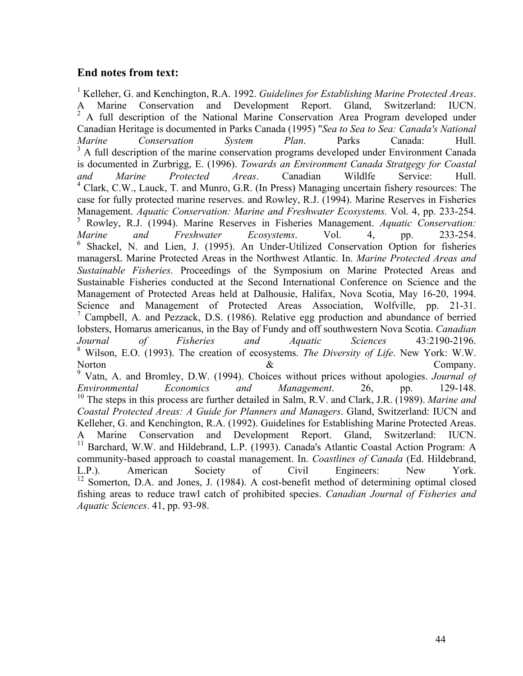## **End notes from text:**

<sup>1</sup> Kelleher, G. and Kenchington, R.A. 1992. *Guidelines for Establishing Marine Protected Areas*. A Marine Conservation and Development Report. Gland, Switzerland: IUCN. <sup>2</sup> A full description of the National Marine Conservation Area Program developed under Canadian Heritage is documented in Parks Canada (1995) "*Sea to Sea to Sea: Canada's National Marine Conservation System Plan*. Parks Canada: Hull.  $3$  A full description of the marine conservation programs developed under Environment Canada is documented in Zurbrigg, E. (1996). *Towards an Environment Canada Stratgegy for Coastal and Marine Protected Areas*. Canadian Wildlfe Service: Hull. <sup>4</sup> Clark, C.W., Lauck, T. and Munro, G.R. (In Press) Managing uncertain fishery resources: The case for fully protected marine reserves. and Rowley, R.J. (1994). Marine Reserves in Fisheries Management. *Aquatic Conservation: Marine and Freshwater Ecosystems.* Vol. 4, pp. 233-254. 5 Rowley, R.J. (1994). Marine Reserves in Fisheries Management. *Aquatic Conservation: Marine and Freshwater Ecosystems*. Vol. 4, pp. 233-254. 6 Shackel, N. and Lien, J. (1995). An Under-Utilized Conservation Option for fisheries managersL Marine Protected Areas in the Northwest Atlantic. In. *Marine Protected Areas and Sustainable Fisheries*. Proceedings of the Symposium on Marine Protected Areas and Sustainable Fisheries conducted at the Second International Conference on Science and the Management of Protected Areas held at Dalhousie, Halifax, Nova Scotia, May 16-20, 1994. Science and Management of Protected Areas Association, Wolfville, pp. 21-31. 7 Campbell, A. and Pezzack, D.S. (1986). Relative egg production and abundance of berried lobsters, Homarus americanus, in the Bay of Fundy and off southwestern Nova Scotia. *Canadian Journal of Fisheries and Aquatic Sciences* 43:2190-2196. 8 Wilson, E.O. (1993). The creation of ecosystems. *The Diversity of Life*. New York: W.W. Norton  $\&$  Company. 9 Vatn, A. and Bromley, D.W. (1994). Choices without prices without apologies. *Journal of Environmental Economics and Management*. 26, pp. 129-148. 10 The steps in this process are further detailed in Salm, R.V. and Clark, J.R. (1989). *Marine and Coastal Protected Areas: A Guide for Planners and Managers*. Gland, Switzerland: IUCN and Kelleher, G. and Kenchington, R.A. (1992). Guidelines for Establishing Marine Protected Areas. A Marine Conservation and Development Report. Gland, Switzerland: IUCN. <sup>11</sup> Barchard, W.W. and Hildebrand, L.P. (1993). Canada's Atlantic Coastal Action Program: A community-based approach to coastal management. In. *Coastlines of Canada* (Ed. Hildebrand, L.P.). American Society of Civil Engineers: New York. <sup>12</sup> Somerton, D.A. and Jones, J. (1984). A cost-benefit method of determining optimal closed fishing areas to reduce trawl catch of prohibited species. *Canadian Journal of Fisheries and Aquatic Sciences*. 41, pp. 93-98.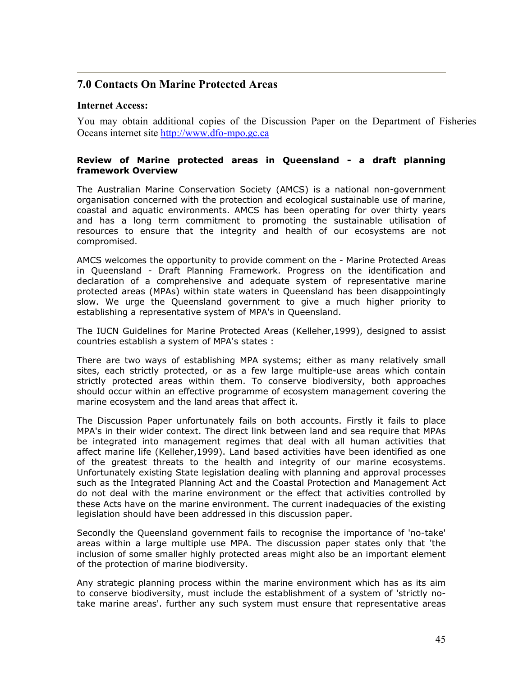## **7.0 Contacts On Marine Protected Areas**

#### **Internet Access:**

You may obtain additional copies of the Discussion Paper on the Department of Fisheries Oceans internet site [http://www.dfo-mpo.gc.ca](http://www.dfo-mpo.gc.ca/)

#### **Review of Marine protected areas in Queensland - a draft planning framework Overview**

The Australian Marine Conservation Society (AMCS) is a national non-government organisation concerned with the protection and ecological sustainable use of marine, coastal and aquatic environments. AMCS has been operating for over thirty years and has a long term commitment to promoting the sustainable utilisation of resources to ensure that the integrity and health of our ecosystems are not compromised.

AMCS welcomes the opportunity to provide comment on the - Marine Protected Areas in Queensland - Draft Planning Framework. Progress on the identification and declaration of a comprehensive and adequate system of representative marine protected areas (MPAs) within state waters in Queensland has been disappointingly slow. We urge the Queensland government to give a much higher priority to establishing a representative system of MPA's in Queensland.

The IUCN Guidelines for Marine Protected Areas (Kelleher,1999), designed to assist countries establish a system of MPA's states :

There are two ways of establishing MPA systems; either as many relatively small sites, each strictly protected, or as a few large multiple-use areas which contain strictly protected areas within them. To conserve biodiversity, both approaches should occur within an effective programme of ecosystem management covering the marine ecosystem and the land areas that affect it.

The Discussion Paper unfortunately fails on both accounts. Firstly it fails to place MPA's in their wider context. The direct link between land and sea require that MPAs be integrated into management regimes that deal with all human activities that affect marine life (Kelleher,1999). Land based activities have been identified as one of the greatest threats to the health and integrity of our marine ecosystems. Unfortunately existing State legislation dealing with planning and approval processes such as the Integrated Planning Act and the Coastal Protection and Management Act do not deal with the marine environment or the effect that activities controlled by these Acts have on the marine environment. The current inadequacies of the existing legislation should have been addressed in this discussion paper.

Secondly the Queensland government fails to recognise the importance of 'no-take' areas within a large multiple use MPA. The discussion paper states only that 'the inclusion of some smaller highly protected areas might also be an important element of the protection of marine biodiversity.

Any strategic planning process within the marine environment which has as its aim to conserve biodiversity, must include the establishment of a system of 'strictly notake marine areas'. further any such system must ensure that representative areas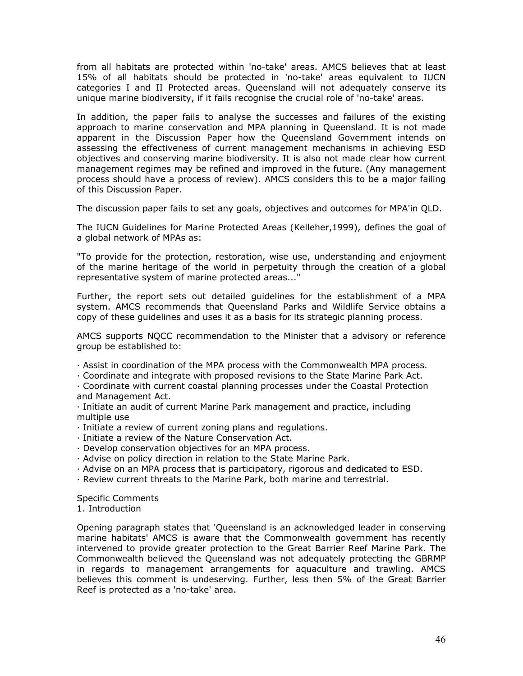from all habitats are protected within 'no-take' areas. AMCS believes that at least 15% of all habitats should be protected in 'no-take' areas equivalent to IUCN categories I and II Protected areas. Queensland will not adequately conserve its unique marine biodiversity, if it fails recognise the crucial role of 'no-take' areas.

In addition, the paper fails to analyse the successes and failures of the existing approach to marine conservation and MPA planning in Queensland. It is not made apparent in the Discussion Paper how the Queensland Government intends on assessing the effectiveness of current management mechanisms in achieving ESD objectives and conserving marine biodiversity. It is also not made clear how current management regimes may be refined and improved in the future. (Any management process should have a process of review). AMCS considers this to be a major failing of this Discussion Paper.

The discussion paper fails to set any goals, objectives and outcomes for MPA'in QLD.

The IUCN Guidelines for Marine Protected Areas (Kelleher,1999), defines the goal of a global network of MPAs as:

"To provide for the protection, restoration, wise use, understanding and enjoyment of the marine heritage of the world in perpetuity through the creation of a global representative system of marine protected areas..."

Further, the report sets out detailed guidelines for the establishment of a MPA system. AMCS recommends that Queensland Parks and Wildlife Service obtains a copy of these guidelines and uses it as a basis for its strategic planning process.

AMCS supports NQCC recommendation to the Minister that a advisory or reference group be established to:

· Assist in coordination of the MPA process with the Commonwealth MPA process.

· Coordinate and integrate with proposed revisions to the State Marine Park Act.

· Coordinate with current coastal planning processes under the Coastal Protection and Management Act.

· Initiate an audit of current Marine Park management and practice, including multiple use

· Initiate a review of current zoning plans and regulations.

- · Initiate a review of the Nature Conservation Act.
- · Develop conservation objectives for an MPA process.
- · Advise on policy direction in relation to the State Marine Park.
- · Advise on an MPA process that is participatory, rigorous and dedicated to ESD.
- · Review current threats to the Marine Park, both marine and terrestrial.

Specific Comments 1. Introduction

Opening paragraph states that 'Queensland is an acknowledged leader in conserving marine habitats' AMCS is aware that the Commonwealth government has recently intervened to provide greater protection to the Great Barrier Reef Marine Park. The Commonwealth believed the Queensland was not adequately protecting the GBRMP in regards to management arrangements for aquaculture and trawling. AMCS believes this comment is undeserving. Further, less then 5% of the Great Barrier Reef is protected as a 'no-take' area.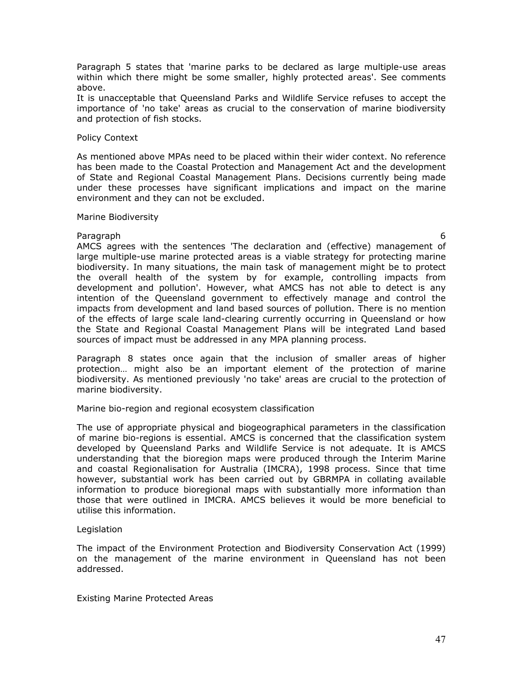Paragraph 5 states that 'marine parks to be declared as large multiple-use areas within which there might be some smaller, highly protected areas'. See comments above.

It is unacceptable that Queensland Parks and Wildlife Service refuses to accept the importance of 'no take' areas as crucial to the conservation of marine biodiversity and protection of fish stocks.

#### Policy Context

As mentioned above MPAs need to be placed within their wider context. No reference has been made to the Coastal Protection and Management Act and the development of State and Regional Coastal Management Plans. Decisions currently being made under these processes have significant implications and impact on the marine environment and they can not be excluded.

#### Marine Biodiversity

#### Paragraph 6

AMCS agrees with the sentences 'The declaration and (effective) management of large multiple-use marine protected areas is a viable strategy for protecting marine biodiversity. In many situations, the main task of management might be to protect the overall health of the system by for example, controlling impacts from development and pollution'. However, what AMCS has not able to detect is any intention of the Queensland government to effectively manage and control the impacts from development and land based sources of pollution. There is no mention of the effects of large scale land-clearing currently occurring in Queensland or how the State and Regional Coastal Management Plans will be integrated Land based sources of impact must be addressed in any MPA planning process.

Paragraph 8 states once again that the inclusion of smaller areas of higher protection… might also be an important element of the protection of marine biodiversity. As mentioned previously 'no take' areas are crucial to the protection of marine biodiversity.

Marine bio-region and regional ecosystem classification

The use of appropriate physical and biogeographical parameters in the classification of marine bio-regions is essential. AMCS is concerned that the classification system developed by Queensland Parks and Wildlife Service is not adequate. It is AMCS understanding that the bioregion maps were produced through the Interim Marine and coastal Regionalisation for Australia (IMCRA), 1998 process. Since that time however, substantial work has been carried out by GBRMPA in collating available information to produce bioregional maps with substantially more information than those that were outlined in IMCRA. AMCS believes it would be more beneficial to utilise this information.

#### Legislation

The impact of the Environment Protection and Biodiversity Conservation Act (1999) on the management of the marine environment in Queensland has not been addressed.

Existing Marine Protected Areas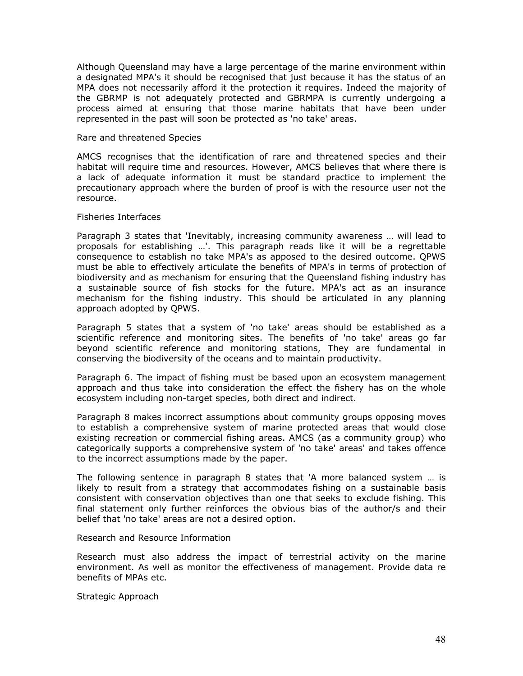Although Queensland may have a large percentage of the marine environment within a designated MPA's it should be recognised that just because it has the status of an MPA does not necessarily afford it the protection it requires. Indeed the majority of the GBRMP is not adequately protected and GBRMPA is currently undergoing a process aimed at ensuring that those marine habitats that have been under represented in the past will soon be protected as 'no take' areas.

#### Rare and threatened Species

AMCS recognises that the identification of rare and threatened species and their habitat will require time and resources. However, AMCS believes that where there is a lack of adequate information it must be standard practice to implement the precautionary approach where the burden of proof is with the resource user not the resource.

#### Fisheries Interfaces

Paragraph 3 states that 'Inevitably, increasing community awareness … will lead to proposals for establishing …'. This paragraph reads like it will be a regrettable consequence to establish no take MPA's as apposed to the desired outcome. QPWS must be able to effectively articulate the benefits of MPA's in terms of protection of biodiversity and as mechanism for ensuring that the Queensland fishing industry has a sustainable source of fish stocks for the future. MPA's act as an insurance mechanism for the fishing industry. This should be articulated in any planning approach adopted by QPWS.

Paragraph 5 states that a system of 'no take' areas should be established as a scientific reference and monitoring sites. The benefits of 'no take' areas go far beyond scientific reference and monitoring stations, They are fundamental in conserving the biodiversity of the oceans and to maintain productivity.

Paragraph 6. The impact of fishing must be based upon an ecosystem management approach and thus take into consideration the effect the fishery has on the whole ecosystem including non-target species, both direct and indirect.

Paragraph 8 makes incorrect assumptions about community groups opposing moves to establish a comprehensive system of marine protected areas that would close existing recreation or commercial fishing areas. AMCS (as a community group) who categorically supports a comprehensive system of 'no take' areas' and takes offence to the incorrect assumptions made by the paper.

The following sentence in paragraph 8 states that 'A more balanced system … is likely to result from a strategy that accommodates fishing on a sustainable basis consistent with conservation objectives than one that seeks to exclude fishing. This final statement only further reinforces the obvious bias of the author/s and their belief that 'no take' areas are not a desired option.

#### Research and Resource Information

Research must also address the impact of terrestrial activity on the marine environment. As well as monitor the effectiveness of management. Provide data re benefits of MPAs etc.

Strategic Approach